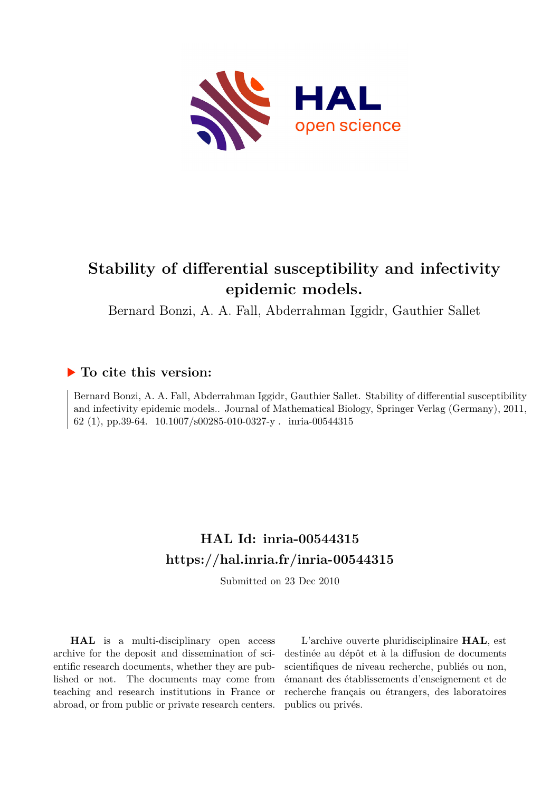

# **Stability of differential susceptibility and infectivity epidemic models.**

Bernard Bonzi, A. A. Fall, Abderrahman Iggidr, Gauthier Sallet

### **To cite this version:**

Bernard Bonzi, A. A. Fall, Abderrahman Iggidr, Gauthier Sallet. Stability of differential susceptibility and infectivity epidemic models.. Journal of Mathematical Biology, Springer Verlag (Germany), 2011, 62 (1), pp.39-64. 10.1007/s00285-010-0327-y . inria-00544315

# **HAL Id: inria-00544315 <https://hal.inria.fr/inria-00544315>**

Submitted on 23 Dec 2010

**HAL** is a multi-disciplinary open access archive for the deposit and dissemination of scientific research documents, whether they are published or not. The documents may come from teaching and research institutions in France or abroad, or from public or private research centers.

L'archive ouverte pluridisciplinaire **HAL**, est destinée au dépôt et à la diffusion de documents scientifiques de niveau recherche, publiés ou non, émanant des établissements d'enseignement et de recherche français ou étrangers, des laboratoires publics ou privés.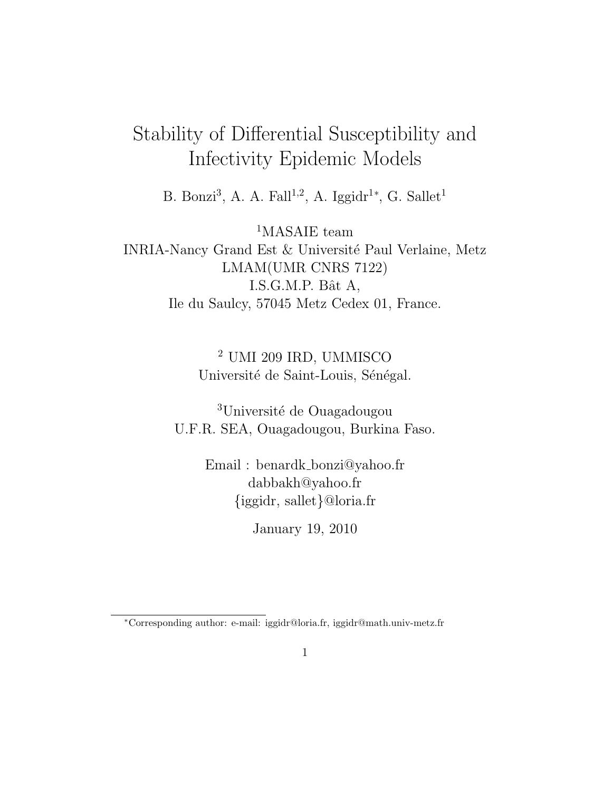# Stability of Differential Susceptibility and Infectivity Epidemic Models

B. Bonzi<sup>3</sup>, A. A. Fall<sup>1,2</sup>, A. Iggidr<sup>1\*</sup>, G. Sallet<sup>1</sup>

<sup>1</sup>MASAIE team INRIA-Nancy Grand Est & Université Paul Verlaine, Metz LMAM(UMR CNRS 7122) I.S.G.M.P. Bât A, Ile du Saulcy, 57045 Metz Cedex 01, France.

> <sup>2</sup> UMI 209 IRD, UMMISCO Université de Saint-Louis, Sénégal.

<sup>3</sup>Université de Ouagadougou U.F.R. SEA, Ouagadougou, Burkina Faso.

> Email : benardk bonzi@yahoo.fr dabbakh@yahoo.fr {iggidr, sallet}@loria.fr

> > January 19, 2010

<sup>∗</sup>Corresponding author: e-mail: iggidr@loria.fr, iggidr@math.univ-metz.fr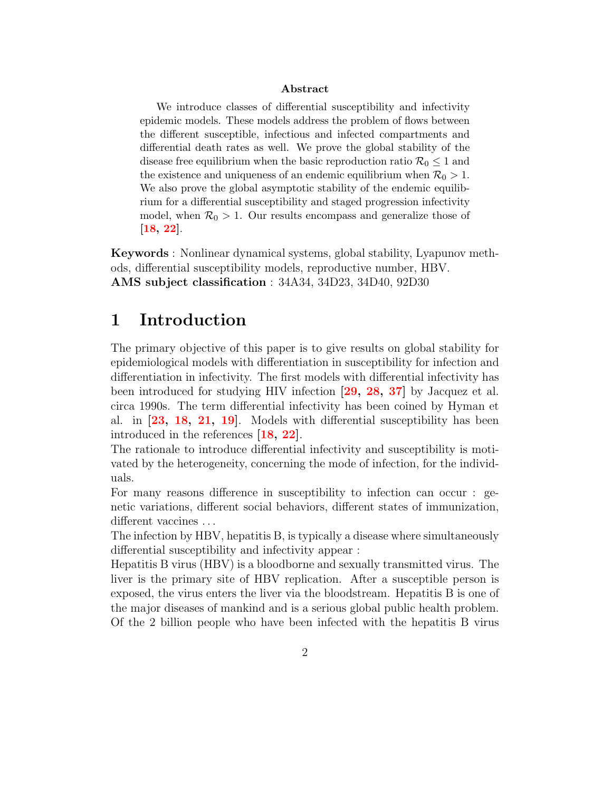#### Abstract

We introduce classes of differential susceptibility and infectivity epidemic models. These models address the problem of flows between the different susceptible, infectious and infected compartments and differential death rates as well. We prove the global stability of the disease free equilibrium when the basic reproduction ratio  $\mathcal{R}_0 \leq 1$  and the existence and uniqueness of an endemic equilibrium when  $\mathcal{R}_0 > 1$ . We also prove the global asymptotic stability of the endemic equilibrium for a differential susceptibility and staged progression infectivity model, when  $\mathcal{R}_0 > 1$ . Our results encompass and generalize those of [\[18,](#page-31-0) [22\]](#page-31-1).

Keywords : Nonlinear dynamical systems, global stability, Lyapunov methods, differential susceptibility models, reproductive number, HBV. AMS subject classification : 34A34, 34D23, 34D40, 92D30

### 1 Introduction

The primary objective of this paper is to give results on global stability for epidemiological models with differentiation in susceptibility for infection and differentiation in infectivity. The first models with differential infectivity has been introduced for studying HIV infection [\[29,](#page-32-0) [28,](#page-32-1) [37\]](#page-33-0) by Jacquez et al. circa 1990s. The term differential infectivity has been coined by Hyman et al. in [\[23,](#page-31-2) [18,](#page-31-0) [21,](#page-31-3) [19\]](#page-31-4). Models with differential susceptibility has been introduced in the references [\[18,](#page-31-0) [22\]](#page-31-1).

The rationale to introduce differential infectivity and susceptibility is motivated by the heterogeneity, concerning the mode of infection, for the individuals.

For many reasons difference in susceptibility to infection can occur : genetic variations, different social behaviors, different states of immunization, different vaccines ...

The infection by HBV, hepatitis B, is typically a disease where simultaneously differential susceptibility and infectivity appear :

Hepatitis B virus (HBV) is a bloodborne and sexually transmitted virus. The liver is the primary site of HBV replication. After a susceptible person is exposed, the virus enters the liver via the bloodstream. Hepatitis B is one of the major diseases of mankind and is a serious global public health problem. Of the 2 billion people who have been infected with the hepatitis B virus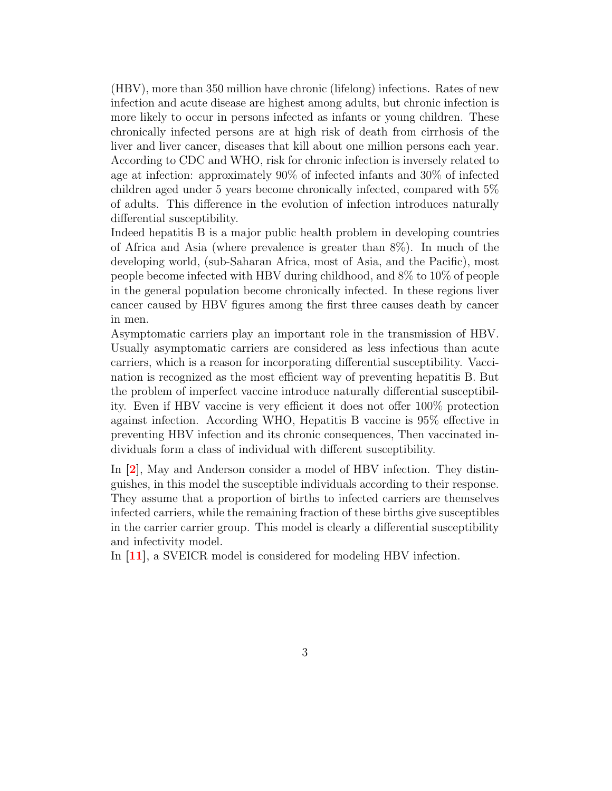(HBV), more than 350 million have chronic (lifelong) infections. Rates of new infection and acute disease are highest among adults, but chronic infection is more likely to occur in persons infected as infants or young children. These chronically infected persons are at high risk of death from cirrhosis of the liver and liver cancer, diseases that kill about one million persons each year. According to CDC and WHO, risk for chronic infection is inversely related to age at infection: approximately 90% of infected infants and 30% of infected children aged under 5 years become chronically infected, compared with 5% of adults. This difference in the evolution of infection introduces naturally differential susceptibility.

Indeed hepatitis B is a major public health problem in developing countries of Africa and Asia (where prevalence is greater than 8%). In much of the developing world, (sub-Saharan Africa, most of Asia, and the Pacific), most people become infected with HBV during childhood, and 8% to 10% of people in the general population become chronically infected. In these regions liver cancer caused by HBV figures among the first three causes death by cancer in men.

Asymptomatic carriers play an important role in the transmission of HBV. Usually asymptomatic carriers are considered as less infectious than acute carriers, which is a reason for incorporating differential susceptibility. Vaccination is recognized as the most efficient way of preventing hepatitis B. But the problem of imperfect vaccine introduce naturally differential susceptibility. Even if HBV vaccine is very efficient it does not offer 100% protection against infection. According WHO, Hepatitis B vaccine is 95% effective in preventing HBV infection and its chronic consequences, Then vaccinated individuals form a class of individual with different susceptibility.

In [\[2\]](#page-29-0), May and Anderson consider a model of HBV infection. They distinguishes, in this model the susceptible individuals according to their response. They assume that a proportion of births to infected carriers are themselves infected carriers, while the remaining fraction of these births give susceptibles in the carrier carrier group. This model is clearly a differential susceptibility and infectivity model.

In [\[11\]](#page-30-0), a SVEICR model is considered for modeling HBV infection.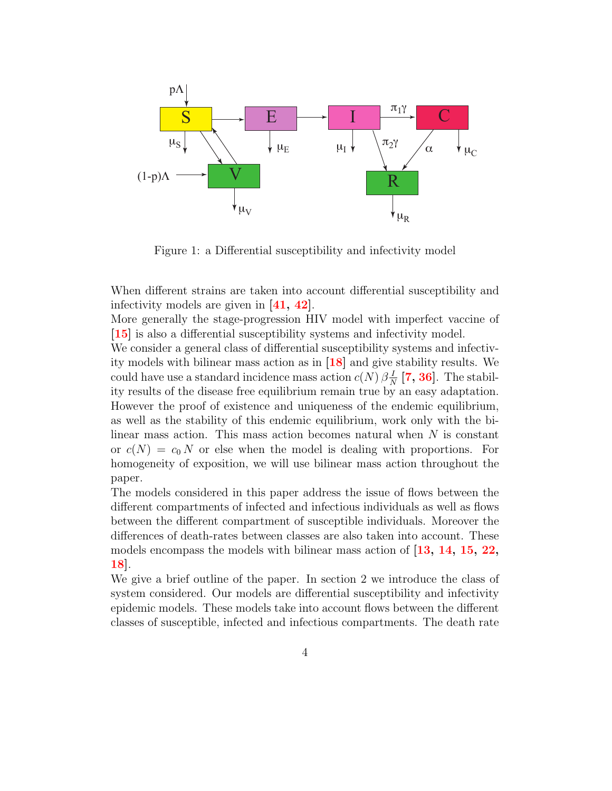

Figure 1: a Differential susceptibility and infectivity model

When different strains are taken into account differential susceptibility and infectivity models are given in [\[41,](#page-33-1) [42\]](#page-33-2).

More generally the stage-progression HIV model with imperfect vaccine of [\[15\]](#page-31-5) is also a differential susceptibility systems and infectivity model.

We consider a general class of differential susceptibility systems and infectivity models with bilinear mass action as in [\[18\]](#page-31-0) and give stability results. We could have use a standard incidence mass action  $c(N) \beta \frac{N}{N}$  $\frac{1}{N}$  [\[7,](#page-30-1) [36\]](#page-33-3). The stability results of the disease free equilibrium remain true by an easy adaptation. However the proof of existence and uniqueness of the endemic equilibrium, as well as the stability of this endemic equilibrium, work only with the bilinear mass action. This mass action becomes natural when  $N$  is constant or  $c(N) = c_0 N$  or else when the model is dealing with proportions. For homogeneity of exposition, we will use bilinear mass action throughout the paper.

The models considered in this paper address the issue of flows between the different compartments of infected and infectious individuals as well as flows between the different compartment of susceptible individuals. Moreover the differences of death-rates between classes are also taken into account. These models encompass the models with bilinear mass action of  $[13, 14, 15, 22,$  $[13, 14, 15, 22,$  $[13, 14, 15, 22,$  $[13, 14, 15, 22,$  $[13, 14, 15, 22,$  $[13, 14, 15, 22,$  $[13, 14, 15, 22,$ [18\]](#page-31-0).

We give a brief outline of the paper. In section 2 we introduce the class of system considered. Our models are differential susceptibility and infectivity epidemic models. These models take into account flows between the different classes of susceptible, infected and infectious compartments. The death rate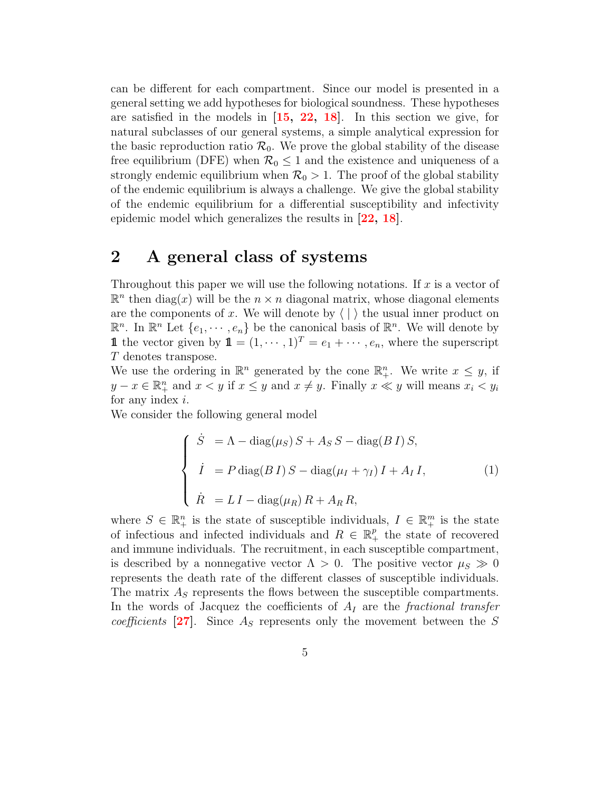can be different for each compartment. Since our model is presented in a general setting we add hypotheses for biological soundness. These hypotheses are satisfied in the models in [\[15,](#page-31-5) [22,](#page-31-1) [18\]](#page-31-0). In this section we give, for natural subclasses of our general systems, a simple analytical expression for the basic reproduction ratio  $\mathcal{R}_0$ . We prove the global stability of the disease free equilibrium (DFE) when  $\mathcal{R}_0 \leq 1$  and the existence and uniqueness of a strongly endemic equilibrium when  $\mathcal{R}_0 > 1$ . The proof of the global stability of the endemic equilibrium is always a challenge. We give the global stability of the endemic equilibrium for a differential susceptibility and infectivity epidemic model which generalizes the results in [\[22,](#page-31-1) [18\]](#page-31-0).

### 2 A general class of systems

Throughout this paper we will use the following notations. If  $x$  is a vector of  $\mathbb{R}^n$  then diag(x) will be the  $n \times n$  diagonal matrix, whose diagonal elements are the components of x. We will denote by  $\langle \cdot | \cdot \rangle$  the usual inner product on  $\mathbb{R}^n$ . In  $\mathbb{R}^n$  Let  $\{e_1, \dots, e_n\}$  be the canonical basis of  $\mathbb{R}^n$ . We will denote by **1** the vector given by  $\mathbf{1} = (1, \dots, 1)^T = e_1 + \dots, e_n$ , where the superscript T denotes transpose.

We use the ordering in  $\mathbb{R}^n$  generated by the cone  $\mathbb{R}^n_+$ . We write  $x \leq y$ , if  $y - x \in \mathbb{R}_{+}^{n}$  and  $x < y$  if  $x \leq y$  and  $x \neq y$ . Finally  $x \ll y$  will means  $x_i < y_i$ for any index  $i$ .

We consider the following general model

<span id="page-5-0"></span>
$$
\begin{cases}\n\dot{S} = \Lambda - \text{diag}(\mu_S) S + A_S S - \text{diag}(B I) S, \\
\dot{I} = P \text{diag}(B I) S - \text{diag}(\mu_I + \gamma_I) I + A_I I, \\
\dot{R} = L I - \text{diag}(\mu_R) R + A_R R,\n\end{cases}
$$
\n(1)

where  $S \in \mathbb{R}^n_+$  is the state of susceptible individuals,  $I \in \mathbb{R}^m_+$  is the state of infectious and infected individuals and  $R \in \mathbb{R}_+^p$  the state of recovered and immune individuals. The recruitment, in each susceptible compartment, is described by a nonnegative vector  $\Lambda > 0$ . The positive vector  $\mu_S \gg 0$ represents the death rate of the different classes of susceptible individuals. The matrix  $A<sub>S</sub>$  represents the flows between the susceptible compartments. In the words of Jacquez the coefficients of  $A_I$  are the fractional transfer *coefficients* [\[27\]](#page-32-2). Since  $A<sub>S</sub>$  represents only the movement between the S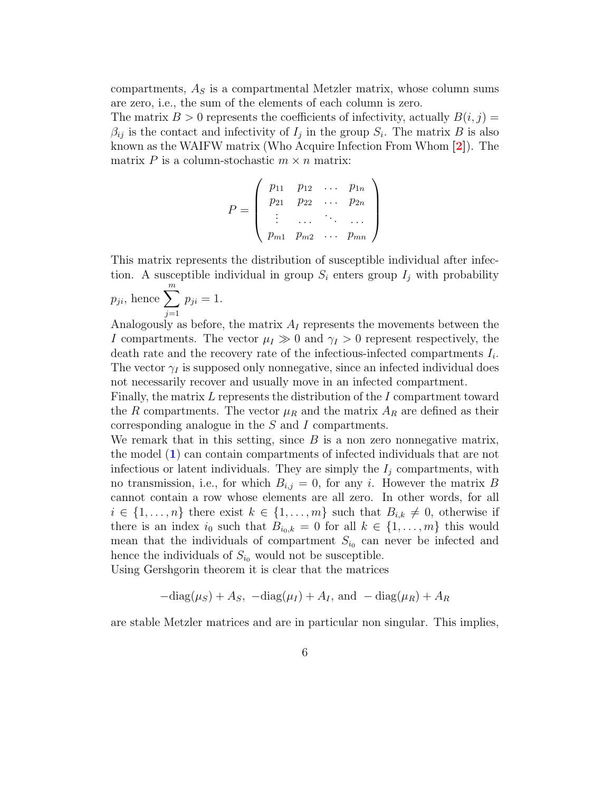compartments,  $A<sub>S</sub>$  is a compartmental Metzler matrix, whose column sums are zero, i.e., the sum of the elements of each column is zero.

The matrix  $B > 0$  represents the coefficients of infectivity, actually  $B(i, j) =$  $\beta_{ij}$  is the contact and infectivity of  $I_j$  in the group  $S_i$ . The matrix B is also known as the WAIFW matrix (Who Acquire Infection From Whom [\[2\]](#page-29-0)). The matrix P is a column-stochastic  $m \times n$  matrix:

$$
P = \left(\begin{array}{cccc} p_{11} & p_{12} & \dots & p_{1n} \\ p_{21} & p_{22} & \dots & p_{2n} \\ \vdots & \dots & \vdots & \dots \\ p_{m1} & p_{m2} & \dots & p_{mn} \end{array}\right)
$$

This matrix represents the distribution of susceptible individual after infection. A susceptible individual in group  $S_i$  enters group  $I_j$  with probability

$$
p_{ji}
$$
, hence  $\sum_{j=1}^{m} p_{ji} = 1$ .

Analogously as before, the matrix  $A_I$  represents the movements between the I compartments. The vector  $\mu_I \gg 0$  and  $\gamma_I > 0$  represent respectively, the death rate and the recovery rate of the infectious-infected compartments  $I_i$ . The vector  $\gamma_I$  is supposed only nonnegative, since an infected individual does not necessarily recover and usually move in an infected compartment.

Finally, the matrix  $L$  represents the distribution of the  $I$  compartment toward the R compartments. The vector  $\mu_R$  and the matrix  $A_R$  are defined as their corresponding analogue in the S and I compartments.

We remark that in this setting, since  $B$  is a non zero nonnegative matrix, the model ([1](#page-5-0)) can contain compartments of infected individuals that are not infectious or latent individuals. They are simply the  $I_i$  compartments, with no transmission, i.e., for which  $B_{i,j} = 0$ , for any i. However the matrix B cannot contain a row whose elements are all zero. In other words, for all  $i \in \{1, \ldots, n\}$  there exist  $k \in \{1, \ldots, m\}$  such that  $B_{i,k} \neq 0$ , otherwise if there is an index  $i_0$  such that  $B_{i_0,k} = 0$  for all  $k \in \{1, \ldots, m\}$  this would mean that the individuals of compartment  $S_{i_0}$  can never be infected and hence the individuals of  $S_{i_0}$  would not be susceptible.

Using Gershgorin theorem it is clear that the matrices

$$
-\text{diag}(\mu_S) + A_S, \ -\text{diag}(\mu_I) + A_I, \text{ and } -\text{diag}(\mu_R) + A_R
$$

are stable Metzler matrices and are in particular non singular. This implies,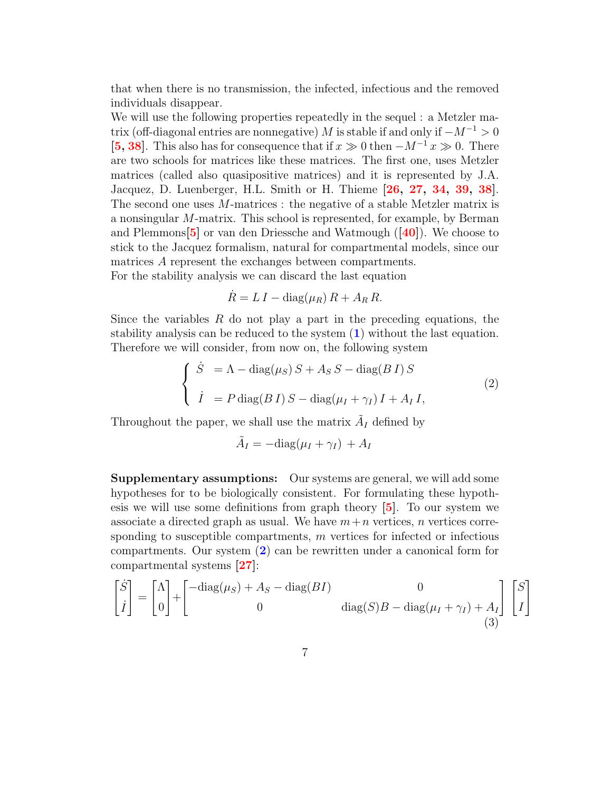that when there is no transmission, the infected, infectious and the removed individuals disappear.

We will use the following properties repeatedly in the sequel : a Metzler matrix (off-diagonal entries are nonnegative) M is stable if and only if  $-M^{-1} > 0$ [\[5,](#page-30-2) [38\]](#page-33-4). This also has for consequence that if  $x \gg 0$  then  $-M^{-1}x \gg 0$ . There are two schools for matrices like these matrices. The first one, uses Metzler matrices (called also quasipositive matrices) and it is represented by J.A. Jacquez, D. Luenberger, H.L. Smith or H. Thieme [\[26,](#page-32-3) [27,](#page-32-2) [34,](#page-32-4) [39,](#page-33-5) [38\]](#page-33-4). The second one uses M-matrices : the negative of a stable Metzler matrix is a nonsingular M-matrix. This school is represented, for example, by Berman and Plemmons  $\mathbf{5}$  or van den Driessche and Watmough  $(\mathbf{40})$ . We choose to stick to the Jacquez formalism, natural for compartmental models, since our matrices A represent the exchanges between compartments.

For the stability analysis we can discard the last equation

$$
\dot{R} = L I - \text{diag}(\mu_R) R + A_R R.
$$

Since the variables  $R$  do not play a part in the preceding equations, the stability analysis can be reduced to the system ([1](#page-5-0)) without the last equation. Therefore we will consider, from now on, the following system

<span id="page-7-0"></span>
$$
\begin{cases}\n\dot{S} = \Lambda - \text{diag}(\mu_S) S + A_S S - \text{diag}(B I) S \\
\dot{I} = P \text{diag}(B I) S - \text{diag}(\mu_I + \gamma_I) I + A_I I,\n\end{cases}
$$
\n(2)

Throughout the paper, we shall use the matrix  $\tilde{A}_I$  defined by

$$
\tilde{A}_I = -\text{diag}(\mu_I + \gamma_I) + A_I
$$

Supplementary assumptions: Our systems are general, we will add some hypotheses for to be biologically consistent. For formulating these hypothesis we will use some definitions from graph theory [\[5\]](#page-30-2). To our system we associate a directed graph as usual. We have  $m+n$  vertices, n vertices corresponding to susceptible compartments,  $m$  vertices for infected or infectious compartments. Our system ([2](#page-7-0)) can be rewritten under a canonical form for compartmental systems [\[27\]](#page-32-2):

$$
\begin{bmatrix} \dot{S} \\ \dot{I} \end{bmatrix} = \begin{bmatrix} \Lambda \\ 0 \end{bmatrix} + \begin{bmatrix} -\text{diag}(\mu_S) + A_S - \text{diag}(BI) & 0 \\ 0 & \text{diag}(S)B - \text{diag}(\mu_I + \gamma_I) + A_I \end{bmatrix} \begin{bmatrix} S \\ I \end{bmatrix}
$$
(3)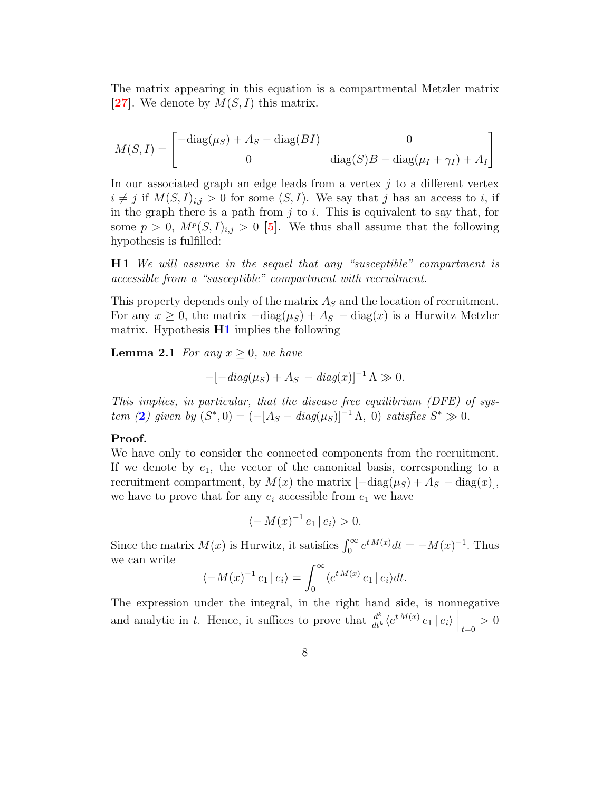The matrix appearing in this equation is a compartmental Metzler matrix [\[27\]](#page-32-2). We denote by  $M(S, I)$  this matrix.

$$
M(S, I) = \begin{bmatrix} -\text{diag}(\mu_S) + A_S - \text{diag}(BI) & 0\\ 0 & \text{diag}(S)B - \text{diag}(\mu_I + \gamma_I) + A_I \end{bmatrix}
$$

In our associated graph an edge leads from a vertex  $j$  to a different vertex  $i \neq j$  if  $M(S, I)_{i,j} > 0$  for some  $(S, I)$ . We say that j has an access to i, if in the graph there is a path from  $j$  to  $i$ . This is equivalent to say that, for some  $p > 0$ ,  $M^p(S, I)_{i,j} > 0$  [\[5\]](#page-30-2). We thus shall assume that the following hypothesis is fulfilled:

<span id="page-8-0"></span>H 1 We will assume in the sequel that any "susceptible" compartment is accessible from a "susceptible" compartment with recruitment.

This property depends only of the matrix  $A<sub>S</sub>$  and the location of recruitment. For any  $x \geq 0$ , the matrix  $-\text{diag}(\mu_S) + A_S - \text{diag}(x)$  is a Hurwitz Metzler matrix. Hypothesis  $H1$  implies the following

**Lemma 2.1** For any  $x \geq 0$ , we have

$$
-[-diag(\mu_S) + A_S - diag(x)]^{-1} \Lambda \gg 0.
$$

This implies, in particular, that the disease free equilibrium (DFE) of sys-tem ([2](#page-7-0)) given by  $(S^*,0) = (-[A_S - diag(\mu_S)]^{-1} \Lambda, 0)$  satisfies  $S^* \gg 0$ .

#### Proof.

We have only to consider the connected components from the recruitment. If we denote by  $e_1$ , the vector of the canonical basis, corresponding to a recruitment compartment, by  $M(x)$  the matrix  $[-diag(\mu_S) + A_S - diag(x)],$ we have to prove that for any  $e_i$  accessible from  $e_1$  we have

$$
\langle -M(x)^{-1} e_1 | e_i \rangle > 0.
$$

Since the matrix  $M(x)$  is Hurwitz, it satisfies  $\int_0^\infty e^{t M(x)} dt = -M(x)^{-1}$ . Thus we can write

$$
\langle -M(x)^{-1} e_1 | e_i \rangle = \int_0^\infty \langle e^{t M(x)} e_1 | e_i \rangle dt.
$$

The expression under the integral, in the right hand side, is nonnegative and analytic in t. Hence, it suffices to prove that  $\frac{d^k}{dt^k} \langle e^{t M(x)} e_1 | e_i \rangle \Big|_{t=0} > 0$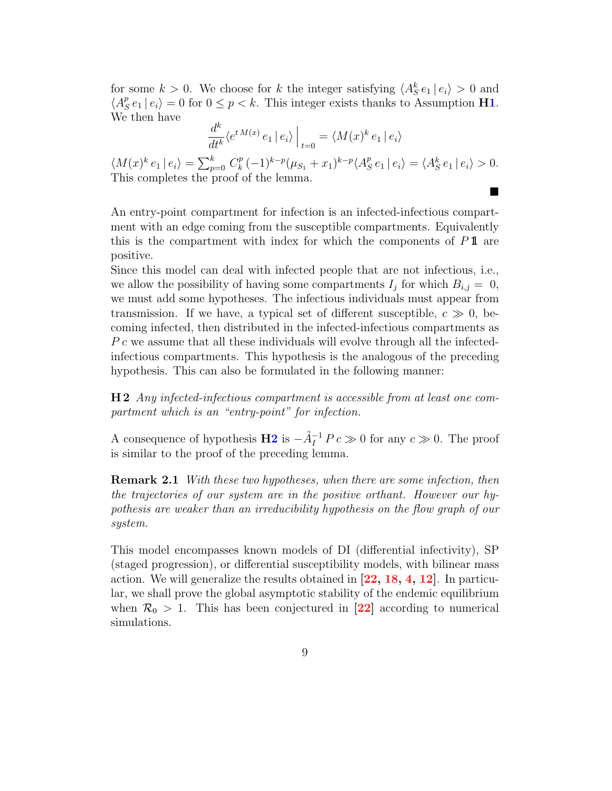for some  $k > 0$ . We choose for k the integer satisfying  $\langle A_{S}^{k} e_{1} | e_{i} \rangle > 0$  and  $\langle A_{\rm S}^p$  $S_{S}^{p}e_{1} | e_{i} \rangle = 0$  for  $0 \leq p < k$ . This integer exists thanks to Assumption **[H1](#page-8-0)**. We then have

$$
\frac{d^k}{dt^k} \langle e^{t M(x)} e_1 | e_i \rangle \Big|_{t=0} = \langle M(x)^k e_1 | e_i \rangle
$$

 $\langle M(x)^k e_1 | e_i \rangle = \sum_{p=0}^k C_k^p$  $(k^p(-1)^{k-p}(\mu_{S_1}+x_1)^{k-p}\langle A_S^p\rangle)$  $S_{S}^{p} e_{1} | e_{i} \rangle = \langle A_{S}^{k} e_{1} | e_{i} \rangle > 0.$ This completes the proof of the lemma.

 $\blacksquare$ 

An entry-point compartment for infection is an infected-infectious compartment with an edge coming from the susceptible compartments. Equivalently this is the compartment with index for which the components of  $P\mathbf{1}$  are positive.

Since this model can deal with infected people that are not infectious, i.e., we allow the possibility of having some compartments  $I_j$  for which  $B_{i,j} = 0$ , we must add some hypotheses. The infectious individuals must appear from transmission. If we have, a typical set of different susceptible,  $c \gg 0$ , becoming infected, then distributed in the infected-infectious compartments as P c we assume that all these individuals will evolve through all the infectedinfectious compartments. This hypothesis is the analogous of the preceding hypothesis. This can also be formulated in the following manner:

<span id="page-9-0"></span>H 2 Any infected-infectious compartment is accessible from at least one compartment which is an "entry-point" for infection.

A consequence of hypothesis  $\mathbf{H2}$  $\mathbf{H2}$  $\mathbf{H2}$  is  $-\tilde{A}^{-1}_I P c \gg 0$  for any  $c \gg 0$ . The proof is similar to the proof of the preceding lemma.

**Remark 2.1** With these two hypotheses, when there are some infection, then the trajectories of our system are in the positive orthant. However our hypothesis are weaker than an irreducibility hypothesis on the flow graph of our system.

This model encompasses known models of DI (differential infectivity), SP (staged progression), or differential susceptibility models, with bilinear mass action. We will generalize the results obtained in [\[22,](#page-31-1) [18,](#page-31-0) [4,](#page-30-3) [12\]](#page-30-4). In particular, we shall prove the global asymptotic stability of the endemic equilibrium when  $\mathcal{R}_0 > 1$ . This has been conjectured in [\[22\]](#page-31-1) according to numerical simulations.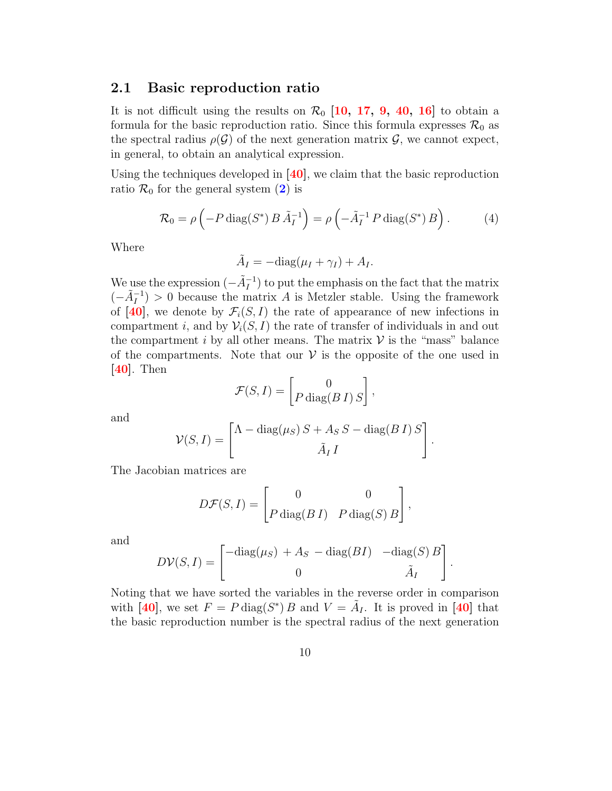#### 2.1 Basic reproduction ratio

It is not difficult using the results on  $\mathcal{R}_0$  [\[10,](#page-30-5) [17,](#page-31-8) [9,](#page-30-6) [40,](#page-33-6) [16\]](#page-31-9) to obtain a formula for the basic reproduction ratio. Since this formula expresses  $\mathcal{R}_0$  as the spectral radius  $\rho(\mathcal{G})$  of the next generation matrix  $\mathcal{G}$ , we cannot expect, in general, to obtain an analytical expression.

Using the techniques developed in  $[40]$ , we claim that the basic reproduction ratio  $\mathcal{R}_0$  for the general system  $(2)$  $(2)$  $(2)$  is

<span id="page-10-0"></span>
$$
\mathcal{R}_0 = \rho \left( -P \operatorname{diag}(S^*) B \tilde{A}_I^{-1} \right) = \rho \left( -\tilde{A}_I^{-1} P \operatorname{diag}(S^*) B \right). \tag{4}
$$

Where

$$
\tilde{A}_I = -\text{diag}(\mu_I + \gamma_I) + A_I.
$$

We use the expression  $(-\tilde{A}_I^{-1})$  to put the emphasis on the fact that the matrix  $(-\tilde{A}_I^{-1}) > 0$  because the matrix A is Metzler stable. Using the framework of [\[40\]](#page-33-6), we denote by  $\mathcal{F}_i(S, I)$  the rate of appearance of new infections in compartment i, and by  $\mathcal{V}_i(S, I)$  the rate of transfer of individuals in and out the compartment i by all other means. The matrix  $V$  is the "mass" balance of the compartments. Note that our  $V$  is the opposite of the one used in [\[40\]](#page-33-6). Then

$$
\mathcal{F}(S,I) = \begin{bmatrix} 0 \\ P \operatorname{diag}(B\,I) \, S \end{bmatrix},
$$

and

$$
\mathcal{V}(S,I) = \begin{bmatrix} \Lambda - \text{diag}(\mu_S) S + A_S S - \text{diag}(B I) S \\ \tilde{A}_I I \end{bmatrix}.
$$

The Jacobian matrices are

$$
D\mathcal{F}(S,I) = \begin{bmatrix} 0 & 0 \\ P \operatorname{diag}(B\,I) & P \operatorname{diag}(S) \, B \end{bmatrix},
$$

and

$$
D\mathcal{V}(S,I) = \begin{bmatrix} -\text{diag}(\mu_S) + A_S - \text{diag}(BI) & -\text{diag}(S) B \\ 0 & \tilde{A}_I \end{bmatrix}.
$$

Noting that we have sorted the variables in the reverse order in comparison with [\[40\]](#page-33-6), we set  $F = P \text{diag}(S^*) B$  and  $V = \tilde{A}_I$ . It is proved in [40] that the basic reproduction number is the spectral radius of the next generation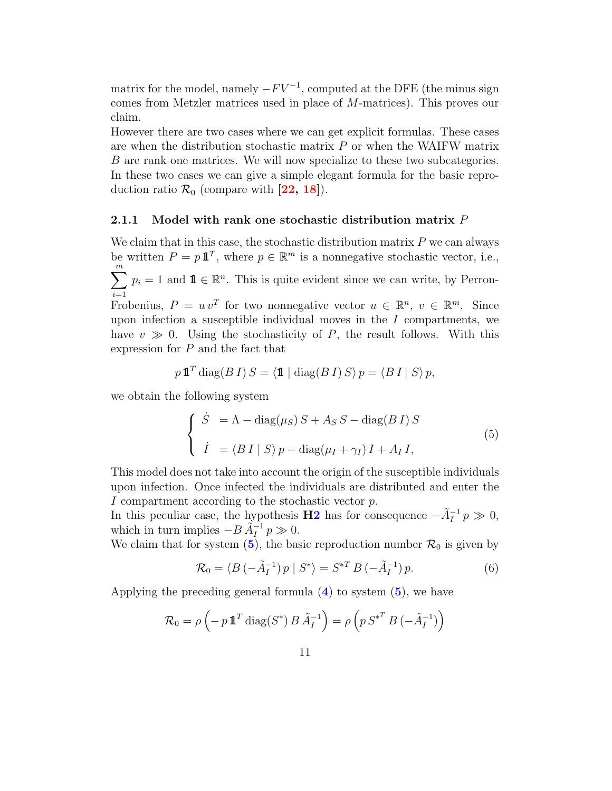matrix for the model, namely  $-FV^{-1}$ , computed at the DFE (the minus sign comes from Metzler matrices used in place of M-matrices). This proves our claim.

However there are two cases where we can get explicit formulas. These cases are when the distribution stochastic matrix  $P$  or when the WAIFW matrix B are rank one matrices. We will now specialize to these two subcategories. In these two cases we can give a simple elegant formula for the basic reproduction ratio  $\mathcal{R}_0$  (compare with [\[22,](#page-31-1) [18\]](#page-31-0)).

#### 2.1.1 Model with rank one stochastic distribution matrix  $P$

We claim that in this case, the stochastic distribution matrix  $P$  we can always be written  $P = p \mathbf{1}^T$ , where  $p \in \mathbb{R}^m$  is a nonnegative stochastic vector, i.e.,  $\sum_{i=1}^{m} p_i = 1$  and  $\mathbf{1} \in \mathbb{R}^n$ . This is quite evident since we can write, by Perron-Frobenius,  $P = uv^T$  for two nonnegative vector  $u \in \mathbb{R}^n$ ,  $v \in \mathbb{R}^m$ . Since upon infection a susceptible individual moves in the  $I$  compartments, we have  $v \gg 0$ . Using the stochasticity of P, the result follows. With this expression for P and the fact that

$$
p\mathbf{1}^T \operatorname{diag}(B\,I)\,S = \langle \mathbf{1} \mid \operatorname{diag}(B\,I)\,S \rangle\, p = \langle B\,I \mid S \rangle\, p,
$$

we obtain the following system

<span id="page-11-0"></span>
$$
\begin{cases}\n\dot{S} = \Lambda - \text{diag}(\mu_S) S + A_S S - \text{diag}(B I) S \\
\dot{I} = \langle B I | S \rangle p - \text{diag}(\mu_I + \gamma_I) I + A_I I,\n\end{cases}
$$
\n(5)

This model does not take into account the origin of the susceptible individuals upon infection. Once infected the individuals are distributed and enter the I compartment according to the stochastic vector p.

In this peculiar case, the hypothesis **[H2](#page-9-0)** has for consequence  $-\tilde{A}^{-1}_I p \gg 0$ , which in turn implies  $-B\tilde{A}_I^{-1}p \gg 0$ .

We claim that for system  $(5)$  $(5)$  $(5)$ , the basic reproduction number  $\mathcal{R}_0$  is given by

<span id="page-11-1"></span>
$$
\mathcal{R}_0 = \langle B \left( -\tilde{A}_I^{-1} \right) p \mid S^* \rangle = S^{*T} B \left( -\tilde{A}_I^{-1} \right) p. \tag{6}
$$

Applying the preceding general formula  $(4)$  $(4)$  $(4)$  to system  $(5)$  $(5)$  $(5)$ , we have

$$
\mathcal{R}_0 = \rho \left( -p \, \mathbf{1}^T \operatorname{diag}(S^*) B \, \tilde{A}_I^{-1} \right) = \rho \left( p \, S^{*^T} B \left( -\tilde{A}_I^{-1} \right) \right)
$$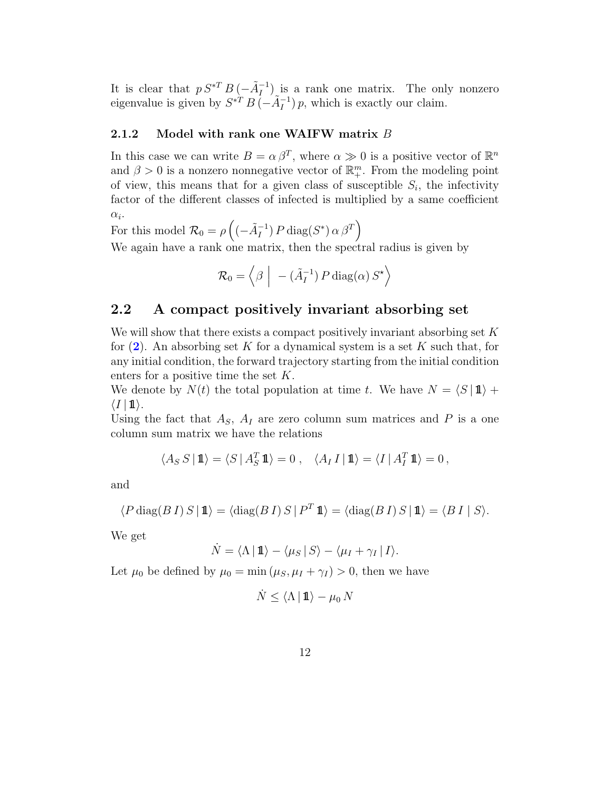It is clear that  $p S^{*T} B \left(-\tilde{A}_I^{-1}\right)$  is a rank one matrix. The only nonzero eigenvalue is given by  $S^{*T} B \left(-\tilde{A}_I^{-1}\right) p$ , which is exactly our claim.

#### 2.1.2 Model with rank one WAIFW matrix B

In this case we can write  $B = \alpha \beta^T$ , where  $\alpha \gg 0$  is a positive vector of  $\mathbb{R}^n$ and  $\beta > 0$  is a nonzero nonnegative vector of  $\mathbb{R}^m_+$ . From the modeling point of view, this means that for a given class of susceptible  $S_i$ , the infectivity factor of the different classes of infected is multiplied by a same coefficient  $\alpha_i$ .

For this model  $\mathcal{R}_0 = \rho \left( \left( - \tilde{A}_I^{-1} \right) P \text{ diag}(S^*) \alpha \beta^T \right)$ 

We again have a rank one matrix, then the spectral radius is given by

$$
\mathcal{R}_0 = \left\langle \beta \middle| - (\tilde{A}_I^{-1}) P \operatorname{diag}(\alpha) S^{\star} \right\rangle
$$

### 2.2 A compact positively invariant absorbing set

We will show that there exists a compact positively invariant absorbing set  $K$ for  $(2)$  $(2)$  $(2)$ . An absorbing set K for a dynamical system is a set K such that, for any initial condition, the forward trajectory starting from the initial condition enters for a positive time the set K.

We denote by  $N(t)$  the total population at time t. We have  $N = \langle S | \mathbf{1} \rangle +$  $\langle I | 1 \rangle$ .

Using the fact that  $A_S$ ,  $A_I$  are zero column sum matrices and P is a one column sum matrix we have the relations

$$
\langle A_S S \, | \, \mathbf{1} \rangle = \langle S \, | \, A_S^T \, \mathbf{1} \rangle = 0 \;, \quad \langle A_I \, I \, | \, \mathbf{1} \rangle = \langle I \, | \, A_I^T \, \mathbf{1} \rangle = 0 \,,
$$

and

$$
\langle P\operatorname{diag}(B\,I)\,S\,|\,{\rm 1\!I}\rangle = \langle\operatorname{diag}(B\,I)\,S\,|\,P^T\,{\rm 1\!I}\rangle = \langle\operatorname{diag}(B\,I)\,S\,|\,{\rm 1\!I}\rangle = \langle B\,I\,|\,S\rangle.
$$

We get

$$
\dot{N} = \langle \Lambda | 1 \! 1 \rangle - \langle \mu_S | S \rangle - \langle \mu_I + \gamma_I | I \rangle.
$$

<span id="page-12-0"></span>Let  $\mu_0$  be defined by  $\mu_0 = \min(\mu_S, \mu_I + \gamma_I) > 0$ , then we have

$$
\dot{N} \le \langle \Lambda \, | \, \mathbf{1} \rangle - \mu_0 \, N
$$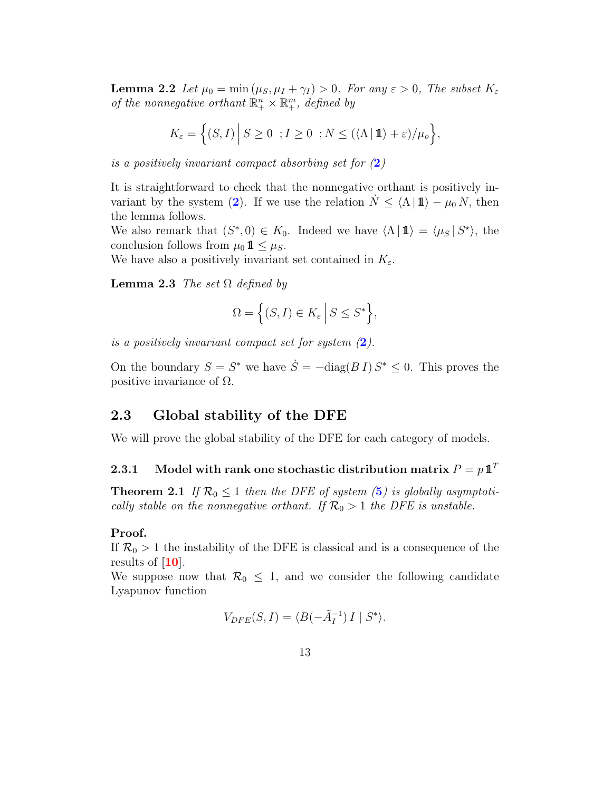**Lemma 2.2** Let  $\mu_0 = \min(\mu_S, \mu_I + \gamma_I) > 0$ . For any  $\varepsilon > 0$ , The subset  $K_{\varepsilon}$ of the nonnegative orthant  $\mathbb{R}^n_+ \times \mathbb{R}^m_+$ , defined by

$$
K_{\varepsilon} = \left\{ (S, I) \, \Big| \, S \ge 0 \; ; I \ge 0 \; ; N \le (\langle \Lambda \, | \, \mathbf{1} \rangle + \varepsilon) / \mu_o \right\},
$$

is a positively invariant compact absorbing set for  $(2)$  $(2)$  $(2)$ 

It is straightforward to check that the nonnegative orthant is positively in-variant by the system ([2](#page-7-0)). If we use the relation  $N \leq \langle \Lambda | \mathbf{1} \rangle - \mu_0 N$ , then the lemma follows.

We also remark that  $(S^*,0) \in K_0$ . Indeed we have  $\langle \Lambda | \mathbf{1} \rangle = \langle \mu_S | S^* \rangle$ , the conclusion follows from  $\mu_0 \mathbf{1} \leq \mu_S$ .

We have also a positively invariant set contained in  $K_{\varepsilon}$ .

**Lemma 2.3** The set  $\Omega$  defined by

$$
\Omega = \left\{ (S, I) \in K_{\varepsilon} \, \middle| \, S \le S^* \right\},\
$$

is a positively invariant compact set for system  $(2)$  $(2)$  $(2)$ .

On the boundary  $S = S^*$  we have  $\dot{S} = -\text{diag}(B I) S^* \leq 0$ . This proves the positive invariance of  $\Omega$ .

### 2.3 Global stability of the DFE

We will prove the global stability of the DFE for each category of models.

### 2.3.1 Model with rank one stochastic distribution matrix  $P = p \mathbf{1}^T$

<span id="page-13-0"></span>**Theorem 2.1** If  $\mathcal{R}_0 \leq 1$  then the DFE of system ([5](#page-11-0)) is globally asymptotically stable on the nonnegative orthant. If  $\mathcal{R}_0 > 1$  the DFE is unstable.

#### Proof.

If  $\mathcal{R}_0 > 1$  the instability of the DFE is classical and is a consequence of the results of  $[10]$ .

We suppose now that  $\mathcal{R}_0 \leq 1$ , and we consider the following candidate Lyapunov function

$$
V_{DFE}(S,I) = \langle B(-\tilde{A}_I^{-1}) I \mid S^* \rangle.
$$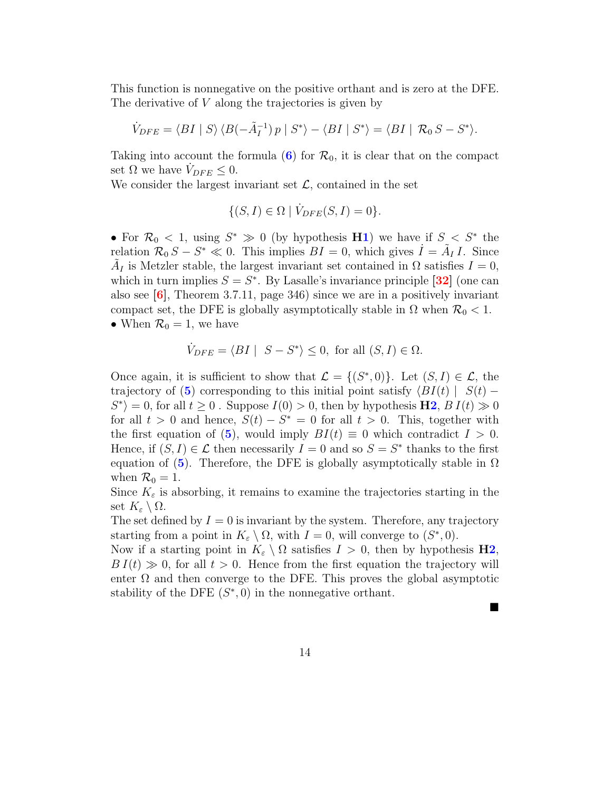This function is nonnegative on the positive orthant and is zero at the DFE. The derivative of V along the trajectories is given by

$$
\dot{V}_{DFE} = \langle BI | S \rangle \langle B(-\tilde{A}_I^{-1}) p | S^* \rangle - \langle BI | S^* \rangle = \langle BI | \mathcal{R}_0 S - S^* \rangle.
$$

Taking into account the formula ([6](#page-11-1)) for  $\mathcal{R}_0$ , it is clear that on the compact set  $\Omega$  we have  $V_{DFE} \leq 0$ .

We consider the largest invariant set  $\mathcal{L}$ , contained in the set

$$
\{(S,I)\in\Omega \mid \dot{V}_{DFE}(S,I)=0\}.
$$

• For  $\mathcal{R}_0 < 1$ , using  $S^* \gg 0$  (by hypothesis [H1](#page-8-0)) we have if  $S < S^*$  the relation  $\mathcal{R}_0 S - S^* \ll 0$ . This implies  $BI = 0$ , which gives  $\dot{I} = \tilde{A}_I I$ . Since  $\tilde{A}_I$  is Metzler stable, the largest invariant set contained in  $\Omega$  satisfies  $I = 0$ , which in turn implies  $S = S^*$ . By Lasalle's invariance principle [\[32\]](#page-32-5) (one can also see  $[6]$ , Theorem 3.7.11, page 346) since we are in a positively invariant compact set, the DFE is globally asymptotically stable in  $\Omega$  when  $\mathcal{R}_0 < 1$ . • When  $\mathcal{R}_0 = 1$ , we have

$$
\dot{V}_{DFE} = \langle BI \mid S - S^* \rangle \le 0, \text{ for all } (S, I) \in \Omega.
$$

Once again, it is sufficient to show that  $\mathcal{L} = \{(S^*, 0)\}\$ . Let  $(S, I) \in \mathcal{L}$ , the trajectory of ([5](#page-11-0)) corresponding to this initial point satisfy  $\langle BI(t) | S(t) S^*$  = 0, for all  $t \geq 0$ . Suppose  $I(0) > 0$ , then by hypothesis  $H2$ ,  $B I(t) \gg 0$ for all  $t > 0$  and hence,  $S(t) - S^* = 0$  for all  $t > 0$ . This, together with the first equation of ([5](#page-11-0)), would imply  $BI(t) \equiv 0$  which contradict  $I > 0$ . Hence, if  $(S, I) \in \mathcal{L}$  then necessarily  $I = 0$  and so  $S = S^*$  thanks to the first equation of ([5](#page-11-0)). Therefore, the DFE is globally asymptotically stable in  $\Omega$ when  $\mathcal{R}_0 = 1$ .

Since  $K_{\varepsilon}$  is absorbing, it remains to examine the trajectories starting in the set  $K_{\varepsilon} \setminus \Omega$ .

The set defined by  $I = 0$  is invariant by the system. Therefore, any trajectory starting from a point in  $K_{\varepsilon} \setminus \Omega$ , with  $I = 0$ , will converge to  $(S^*, 0)$ .

Now if a starting point in  $K_{\varepsilon} \setminus \Omega$  satisfies  $I > 0$ , then by hypothesis **[H2](#page-9-0)**,  $B I(t) \gg 0$ , for all  $t > 0$ . Hence from the first equation the trajectory will enter  $\Omega$  and then converge to the DFE. This proves the global asymptotic stability of the DFE  $(S^*, 0)$  in the nonnegative orthant.

П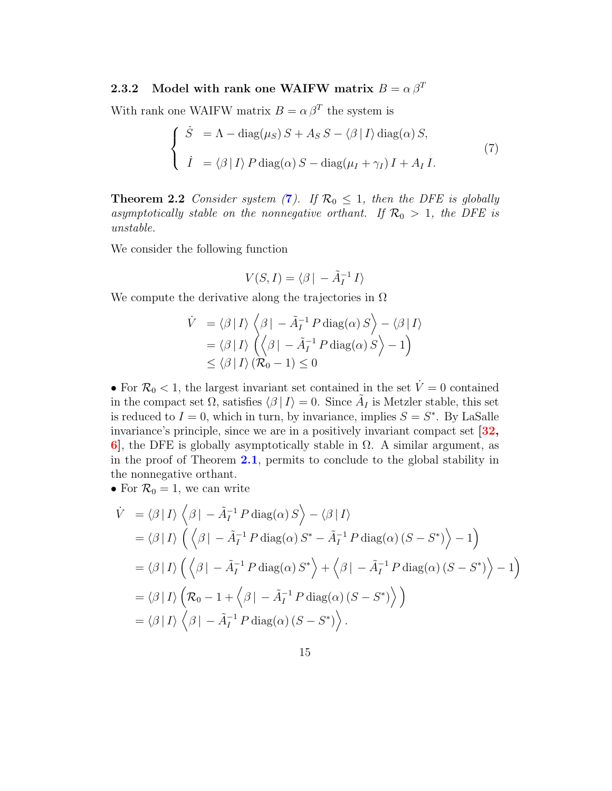### 2.3.2 Model with rank one WAIFW matrix  $B = \alpha \beta^T$

With rank one WAIFW matrix  $B = \alpha \beta^T$  the system is

<span id="page-15-0"></span>
$$
\begin{cases}\n\dot{S} = \Lambda - \text{diag}(\mu_S) S + A_S S - \langle \beta | I \rangle \text{diag}(\alpha) S, \\
\dot{I} = \langle \beta | I \rangle P \text{diag}(\alpha) S - \text{diag}(\mu_I + \gamma_I) I + A_I I.\n\end{cases} (7)
$$

**Theorem 2.2** Consider system ([7](#page-15-0)). If  $\mathcal{R}_0 \leq 1$ , then the DFE is globally asymptotically stable on the nonnegative orthant. If  $\mathcal{R}_0 > 1$ , the DFE is unstable.

We consider the following function

$$
V(S,I) = \langle \beta | -\tilde{A}_I^{-1} I \rangle
$$

We compute the derivative along the trajectories in  $\Omega$ 

$$
\dot{V} = \langle \beta | I \rangle \langle \beta | - \tilde{A}_I^{-1} P \operatorname{diag}(\alpha) S \rangle - \langle \beta | I \rangle
$$
  
=  $\langle \beta | I \rangle \langle \langle \beta | - \tilde{A}_I^{-1} P \operatorname{diag}(\alpha) S \rangle - 1 \rangle$   
 $\leq \langle \beta | I \rangle (\mathcal{R}_0 - 1) \leq 0$ 

• For  $\mathcal{R}_0$  < 1, the largest invariant set contained in the set  $\dot{V}=0$  contained in the compact set  $\Omega$ , satisfies  $\langle \beta | I \rangle = 0$ . Since  $\tilde{A}_I$  is Metzler stable, this set is reduced to  $I = 0$ , which in turn, by invariance, implies  $S = S^*$ . By LaSalle invariance's principle, since we are in a positively invariant compact set [\[32,](#page-32-5) 6, the DFE is globally asymptotically stable in  $\Omega$ . A similar argument, as in the proof of Theorem [2.1](#page-13-0), permits to conclude to the global stability in the nonnegative orthant.

• For  $\mathcal{R}_0 = 1$ , we can write

$$
\dot{V} = \langle \beta | I \rangle \langle \beta | - \tilde{A}_I^{-1} P \operatorname{diag}(\alpha) S \rangle - \langle \beta | I \rangle
$$
  
\n
$$
= \langle \beta | I \rangle \left( \langle \beta | - \tilde{A}_I^{-1} P \operatorname{diag}(\alpha) S^* - \tilde{A}_I^{-1} P \operatorname{diag}(\alpha) (S - S^*) \rangle - 1 \right)
$$
  
\n
$$
= \langle \beta | I \rangle \left( \langle \beta | - \tilde{A}_I^{-1} P \operatorname{diag}(\alpha) S^* \rangle + \langle \beta | - \tilde{A}_I^{-1} P \operatorname{diag}(\alpha) (S - S^*) \rangle - 1 \right)
$$
  
\n
$$
= \langle \beta | I \rangle \left( \mathcal{R}_0 - 1 + \langle \beta | - \tilde{A}_I^{-1} P \operatorname{diag}(\alpha) (S - S^*) \rangle \right)
$$
  
\n
$$
= \langle \beta | I \rangle \langle \beta | - \tilde{A}_I^{-1} P \operatorname{diag}(\alpha) (S - S^*) \rangle.
$$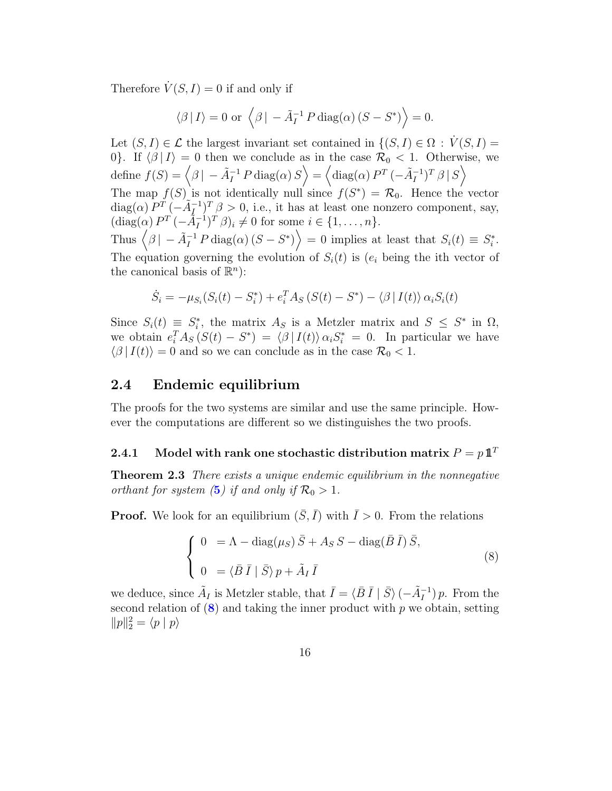Therefore  $\dot{V}(S, I) = 0$  if and only if

$$
\langle \beta | I \rangle = 0
$$
 or  $\langle \beta | -\tilde{A}_I^{-1} P \text{ diag}(\alpha) (S - S^*) \rangle = 0.$ 

Let  $(S, I) \in \mathcal{L}$  the largest invariant set contained in  $\{(S, I) \in \Omega : V(S, I) =$ 0}. If  $\langle \beta | I \rangle = 0$  then we conclude as in the case  $\mathcal{R}_0 < 1$ . Otherwise, we  $\text{define } f(S) = \left\langle \beta \, | \, -\tilde{A}_I^{-1}\, P \, \text{diag}(\alpha)\, S \right\rangle = \left\langle \text{diag}(\alpha)\, P^T \, (-\tilde{A}_I^{-1})^T \, \beta \, | \, S \right\rangle$ 

The map  $f(S)$  is not identically null since  $f(S^*) = \mathcal{R}_0$ . Hence the vector  $\text{diag}(\alpha) P^T \left(-\tilde{A}_I^{-1}\right)^T \beta > 0$ , i.e., it has at least one nonzero component, say,  $(\text{diag}(\alpha) P^T(-\tilde{A}_I^{-1})^T \beta)_i \neq 0 \text{ for some } i \in \{1, \ldots, n\}.$ 

Thus  $\langle \beta | - \tilde{A}_I^{-1} P \text{diag}(\alpha) (S - S^*) \rangle = 0$  implies at least that  $S_i(t) \equiv S_i^*$  $\frac{i}{i}$ . The equation governing the evolution of  $S_i(t)$  is  $(e_i)$  being the ith vector of the canonical basis of  $\mathbb{R}^n$ :

$$
\dot{S}_i = -\mu_{S_i}(S_i(t) - S_i^*) + e_i^T A_S (S(t) - S^*) - \langle \beta | I(t) \rangle \alpha_i S_i(t)
$$

Since  $S_i(t) \equiv S_i^*$ <sup>\*</sup>, the matrix  $A_S$  is a Metzler matrix and  $S \leq S^*$  in  $\Omega$ , we obtain  $e_i^T A_S (S(t) - S^*) = \langle \beta | I(t) \rangle \alpha_i S_i^* = 0$ . In particular we have  $\langle \beta | I(t) \rangle = 0$  and so we can conclude as in the case  $\mathcal{R}_0 < 1$ .

#### <span id="page-16-2"></span>2.4 Endemic equilibrium

The proofs for the two systems are similar and use the same principle. However the computations are different so we distinguishes the two proofs.

### 2.4.1 Model with rank one stochastic distribution matrix  $P = p1^T$

<span id="page-16-1"></span>**Theorem 2.3** There exists a unique endemic equilibrium in the nonnegative orthant for system ([5](#page-11-0)) if and only if  $\mathcal{R}_0 > 1$ .

**Proof.** We look for an equilibrium  $(\bar{S}, \bar{I})$  with  $\bar{I} > 0$ . From the relations

<span id="page-16-0"></span>
$$
\begin{cases}\n0 &= \Lambda - \text{diag}(\mu_S) \,\bar{S} + A_S S - \text{diag}(\bar{B}\,\bar{I}) \,\bar{S}, \\
0 &= \langle \bar{B}\,\bar{I} \mid \bar{S} \rangle \, p + \tilde{A}_I \,\bar{I}\n\end{cases} \tag{8}
$$

we deduce, since  $\tilde{A}_I$  is Metzler stable, that  $\bar{I} = \langle \bar{B} \, \bar{I} \mid \bar{S} \rangle \, (-\tilde{A}_I^{-1}) \, p$ . From the second relation of  $(8)$  $(8)$  $(8)$  and taking the inner product with p we obtain, setting  $||p||_2^2 = \langle p | p \rangle$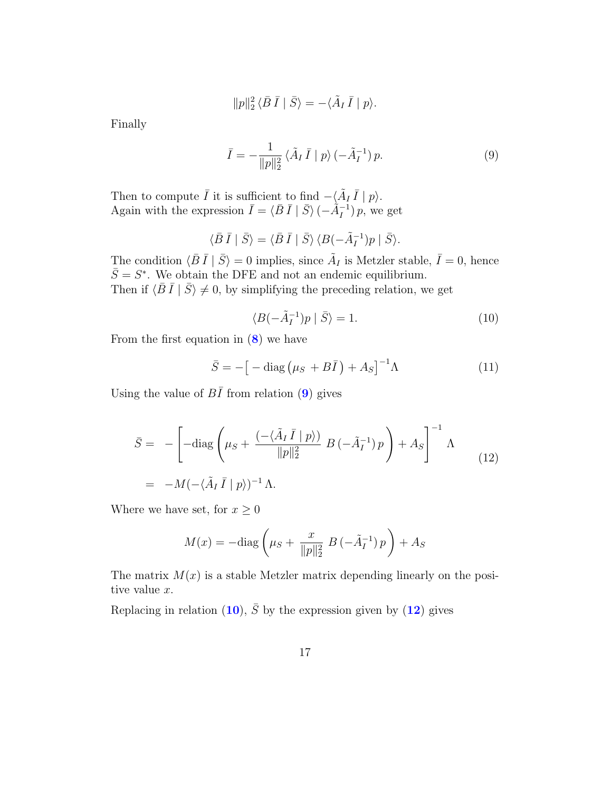$$
||p||_2^2 \langle \bar{B}\,\bar{I} \mid \bar{S} \rangle = -\langle \tilde{A}_I\,\bar{I} \mid p \rangle.
$$

Finally

<span id="page-17-0"></span>
$$
\bar{I} = -\frac{1}{\|p\|_2^2} \langle \tilde{A}_I \,\bar{I} \mid p \rangle \, (-\tilde{A}_I^{-1}) \, p. \tag{9}
$$

Then to compute  $\overline{I}$  it is sufficient to find  $-\langle \tilde{A}_I \overline{I} | p \rangle$ . Again with the expression  $\bar{I} = \langle \bar{B} \bar{I} | \bar{S} \rangle \left( -\hat{A}_{I}^{-1} \right) p$ , we get

$$
\langle \bar{B}\,\bar{I} \mid \bar{S}\rangle = \langle \bar{B}\,\bar{I} \mid \bar{S}\rangle \, \langle B(-\tilde{A}_I^{-1})p \mid \bar{S}\rangle.
$$

The condition  $\langle \bar{B} \bar{I} | \bar{S} \rangle = 0$  implies, since  $\tilde{A}_I$  is Metzler stable,  $\bar{I} = 0$ , hence  $\bar{S} = S^*$ . We obtain the DFE and not an endemic equilibrium. Then if  $\langle \bar{B} \bar{I} | \bar{S} \rangle \neq 0$ , by simplifying the preceding relation, we get

<span id="page-17-1"></span>
$$
\langle B(-\tilde{A}_I^{-1})p \mid \bar{S} \rangle = 1. \tag{10}
$$

From the first equation in  $(8)$  $(8)$  $(8)$  we have

<span id="page-17-3"></span>
$$
\bar{S} = -\left[ -\text{diag}\left(\mu_S + B\bar{I}\right) + A_S \right]^{-1} \Lambda \tag{11}
$$

Using the value of  $B\overline{I}$  from relation ([9](#page-17-0)) gives

<span id="page-17-2"></span>
$$
\bar{S} = -\left[ -\text{diag}\left(\mu_S + \frac{(-\langle \tilde{A}_I \bar{I} | p \rangle)}{\|p\|_2^2} B(-\tilde{A}_I^{-1}) p \right) + A_S \right]^{-1} \Lambda
$$
\n
$$
= -M(-\langle \tilde{A}_I \bar{I} | p \rangle)^{-1} \Lambda.
$$
\n(12)

Where we have set, for  $x \geq 0$ 

$$
M(x) = -\text{diag}\left(\mu_S + \frac{x}{\|p\|_2^2} B\left(-\tilde{A}_I^{-1}\right)p\right) + A_S
$$

The matrix  $M(x)$  is a stable Metzler matrix depending linearly on the positive value x.

Replacing in relation ([10](#page-17-1)),  $\overline{S}$  by the expression given by ([12](#page-17-2)) gives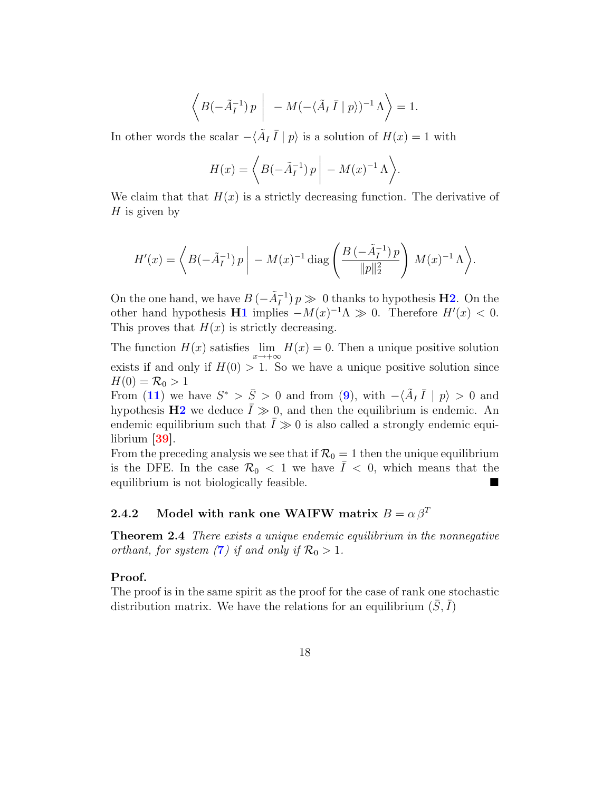$$
\left\langle B(-\tilde{A}_I^{-1}) p \middle| -M(-\langle \tilde{A}_I \bar{I} | p \rangle)^{-1} \Lambda \right\rangle = 1.
$$

In other words the scalar  $-\langle \tilde{A}_I \bar{I} | p \rangle$  is a solution of  $H(x) = 1$  with

$$
H(x) = \left\langle B(-\tilde{A}_I^{-1}) p \middle| - M(x)^{-1} \Lambda \right\rangle.
$$

We claim that that  $H(x)$  is a strictly decreasing function. The derivative of  $H$  is given by

$$
H'(x) = \left\langle B(-\tilde{A}_I^{-1}) p \middle| - M(x)^{-1} \operatorname{diag} \left( \frac{B(-\tilde{A}_I^{-1}) p}{\|p\|_2^2} \right) M(x)^{-1} \Lambda \right\rangle.
$$

On the one hand, we have  $B(-\tilde{A}_I^{-1})p \gg 0$  thanks to hypothesis **[H2](#page-9-0)**. On the other hand hypothesis  $\mathbf{H1}$  $\mathbf{H1}$  $\mathbf{H1}$  implies  $-M(x)^{-1}\Lambda \gg 0$ . Therefore  $H'(x) < 0$ . This proves that  $H(x)$  is strictly decreasing.

The function  $H(x)$  satisfies  $\lim_{x \to +\infty} H(x) = 0$ . Then a unique positive solution exists if and only if  $H(0) > 1$ . So we have a unique positive solution since  $H(0) = \mathcal{R}_0 > 1$ 

From ([11](#page-17-3)) we have  $S^* > \bar{S} > 0$  and from ([9](#page-17-0)), with  $-\langle \tilde{A}_I \bar{I} | p \rangle > 0$  and hypothesis  $\mathbf{H2}$  $\mathbf{H2}$  $\mathbf{H2}$  we deduce  $\overline{I} \gg 0$ , and then the equilibrium is endemic. An endemic equilibrium such that  $\overline{I} \gg 0$  is also called a strongly endemic equilibrium [\[39\]](#page-33-5).

From the preceding analysis we see that if  $\mathcal{R}_0 = 1$  then the unique equilibrium is the DFE. In the case  $\mathcal{R}_0$  < 1 we have  $\overline{I}$  < 0, which means that the equilibrium is not biologically feasible.

## 2.4.2 Model with rank one WAIFW matrix  $B = \alpha \beta^T$

**Theorem 2.4** There exists a unique endemic equilibrium in the nonnegative orthant, for system ([7](#page-15-0)) if and only if  $\mathcal{R}_0 > 1$ .

#### Proof.

The proof is in the same spirit as the proof for the case of rank one stochastic distribution matrix. We have the relations for an equilibrium  $(\bar{S}, \bar{I})$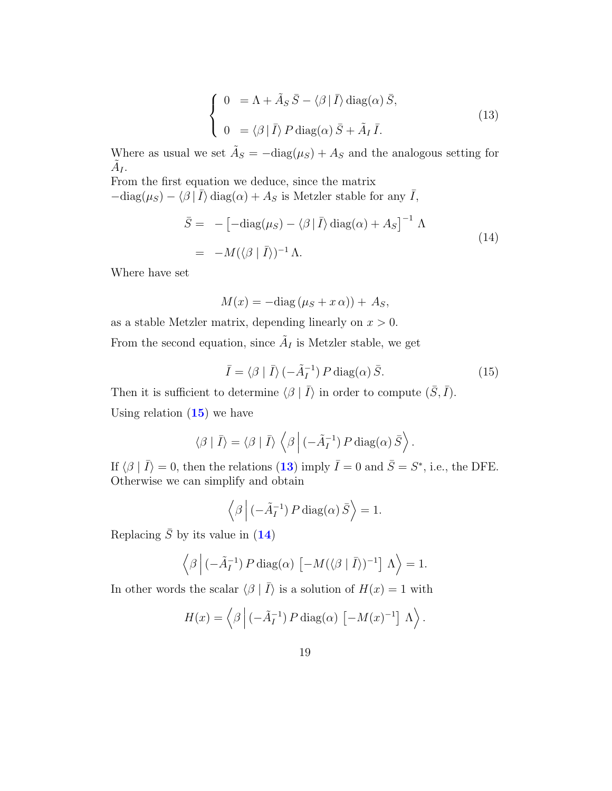<span id="page-19-1"></span>
$$
\begin{cases}\n0 &= \Lambda + \tilde{A}_S \,\bar{S} - \langle \beta | \,\bar{I} \rangle \,\text{diag}(\alpha) \,\bar{S}, \\
0 &= \langle \beta | \,\bar{I} \rangle \, P \,\text{diag}(\alpha) \,\bar{S} + \tilde{A}_I \,\bar{I}.\n\end{cases}
$$
\n(13)

Where as usual we set  $\tilde{A}_S = -\text{diag}(\mu_S) + A_S$  and the analogous setting for  $\tilde{A}_I.$ 

From the first equation we deduce, since the matrix  $-\text{diag}(\mu_S) - \langle \beta | \bar{I} \rangle \text{diag}(\alpha) + A_S$  is Metzler stable for any  $\bar{I}$ ,

<span id="page-19-2"></span>
$$
\bar{S} = -\left[-\text{diag}(\mu_S) - \langle \beta | \bar{I} \rangle \text{diag}(\alpha) + A_S\right]^{-1} \Lambda
$$
  
= 
$$
-M(\langle \beta | \bar{I} \rangle)^{-1} \Lambda.
$$
 (14)

Where have set

$$
M(x) = -\text{diag}\left(\mu_S + x\,\alpha\right) + A_S,
$$

as a stable Metzler matrix, depending linearly on  $x > 0$ . From the second equation, since  $\tilde{A}_I$  is Metzler stable, we get

<span id="page-19-0"></span>
$$
\bar{I} = \langle \beta | \bar{I} \rangle (-\tilde{A}_I^{-1}) P \operatorname{diag}(\alpha) \bar{S}.
$$
 (15)

Then it is sufficient to determine  $\langle \beta | \bar{I} \rangle$  in order to compute  $(\bar{S}, \bar{I})$ . Using relation  $(15)$  $(15)$  $(15)$  we have

$$
\langle \beta | \bar{I} \rangle = \langle \beta | \bar{I} \rangle \left\langle \beta | (-\tilde{A}_I^{-1}) P \operatorname{diag}(\alpha) \bar{S} \right\rangle.
$$

If  $\langle \beta | \bar{I} \rangle = 0$ , then the relations ([13](#page-19-1)) imply  $\bar{I} = 0$  and  $\bar{S} = S^*$ , i.e., the DFE. Otherwise we can simplify and obtain

$$
\left\langle \beta \left| \left( -\tilde{A}_I^{-1} \right) P \operatorname{diag}(\alpha) \tilde{S} \right. \right\rangle = 1.
$$

Replacing  $\bar{S}$  by its value in ([14](#page-19-2))

$$
\langle \beta | (-\tilde{A}_I^{-1}) P \operatorname{diag}(\alpha) [-M(\langle \beta | I \rangle)^{-1}] \Lambda \rangle = 1.
$$

In other words the scalar  $\langle \beta | \bar{I} \rangle$  is a solution of  $H(x) = 1$  with

$$
H(x) = \left\langle \beta \left| \left( -\tilde{A}_I^{-1} \right) P \operatorname{diag}(\alpha) \left[ -M(x)^{-1} \right] \Lambda \right\rangle \right.
$$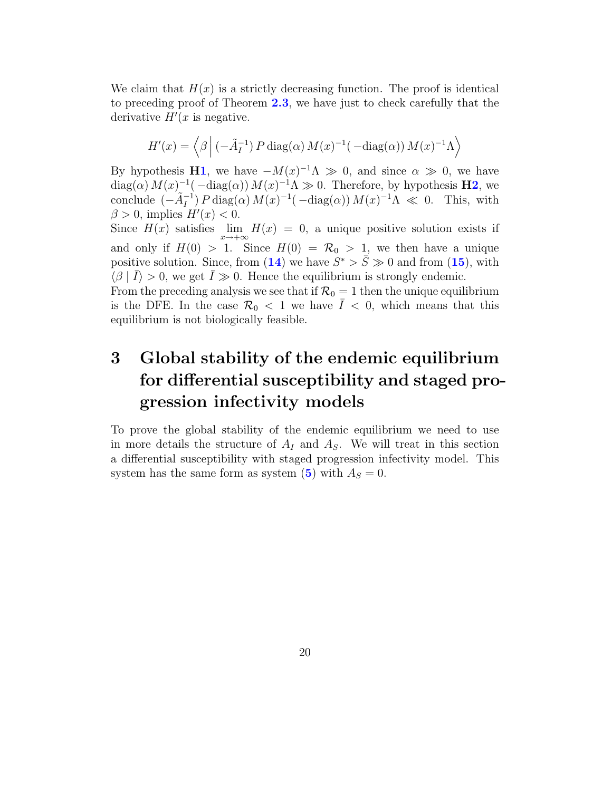We claim that  $H(x)$  is a strictly decreasing function. The proof is identical to preceding proof of Theorem [2.3](#page-16-1), we have just to check carefully that the derivative  $H'(x)$  is negative.

$$
H'(x) = \left\langle \beta \left| \left( -\tilde{A}_I^{-1} \right) P \operatorname{diag}(\alpha) M(x)^{-1} \left( -\operatorname{diag}(\alpha) \right) M(x)^{-1} \Lambda \right\rangle \right\}
$$

By hypothesis **[H1](#page-8-0)**, we have  $-M(x)^{-1}\Lambda \gg 0$ , and since  $\alpha \gg 0$ , we have  $\text{diag}(\alpha) M(x)^{-1}(-\text{diag}(\alpha)) M(x)^{-1} \Lambda \gg 0$ . Therefore, by hypothesis **[H2](#page-9-0)**, we conclude  $(-\tilde{A}_I^{-1}) P \operatorname{diag}(\alpha) M(x)^{-1} (-\operatorname{diag}(\alpha)) M(x)^{-1} \Lambda \ll 0$ . This, with  $\beta > 0$ , implies  $H'(x) < 0$ .

Since  $H(x)$  satisfies  $\lim_{x \to +\infty} H(x) = 0$ , a unique positive solution exists if and only if  $H(0) > 1$ . Since  $H(0) = \mathcal{R}_0 > 1$ , we then have a unique positive solution. Since, from ([14](#page-19-2)) we have  $S^* > \overline{S} \gg 0$  and from ([15](#page-19-0)), with  $\langle \beta | \bar{I} \rangle > 0$ , we get  $\bar{I} \gg 0$ . Hence the equilibrium is strongly endemic.

From the preceding analysis we see that if  $\mathcal{R}_0 = 1$  then the unique equilibrium is the DFE. In the case  $\mathcal{R}_0 < 1$  we have  $\overline{I} < 0$ , which means that this equilibrium is not biologically feasible.

# 3 Global stability of the endemic equilibrium for differential susceptibility and staged progression infectivity models

To prove the global stability of the endemic equilibrium we need to use in more details the structure of  $A_I$  and  $A_S$ . We will treat in this section a differential susceptibility with staged progression infectivity model. This system has the same form as system ([5](#page-11-0)) with  $A<sub>S</sub> = 0$ .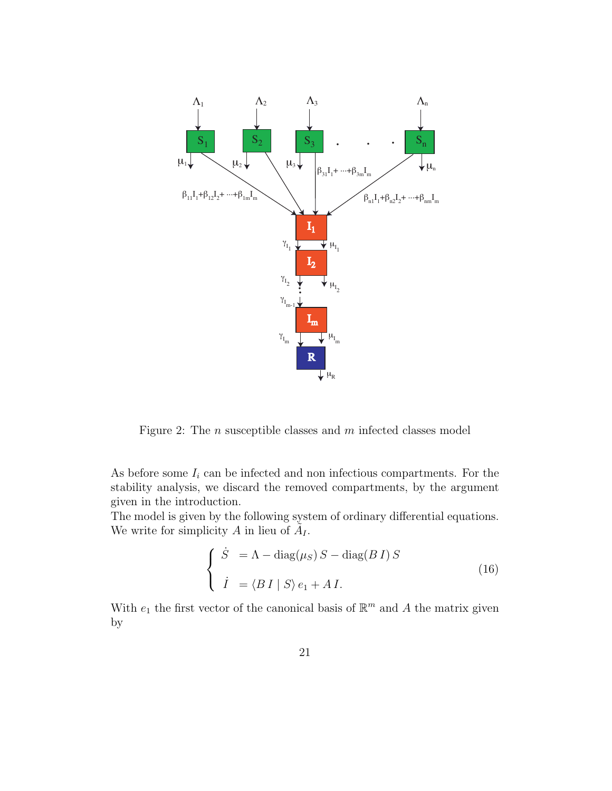

Figure 2: The n susceptible classes and m infected classes model

As before some  $I_i$  can be infected and non infectious compartments. For the stability analysis, we discard the removed compartments, by the argument given in the introduction.

The model is given by the following system of ordinary differential equations. We write for simplicity A in lieu of  $\tilde{A}_{I}$ .

<span id="page-21-0"></span>
$$
\begin{cases}\n\dot{S} = \Lambda - \text{diag}(\mu_S) S - \text{diag}(B I) S \\
\dot{I} = \langle B I | S \rangle e_1 + A I.\n\end{cases}
$$
\n(16)

With  $e_1$  the first vector of the canonical basis of  $\mathbb{R}^m$  and A the matrix given by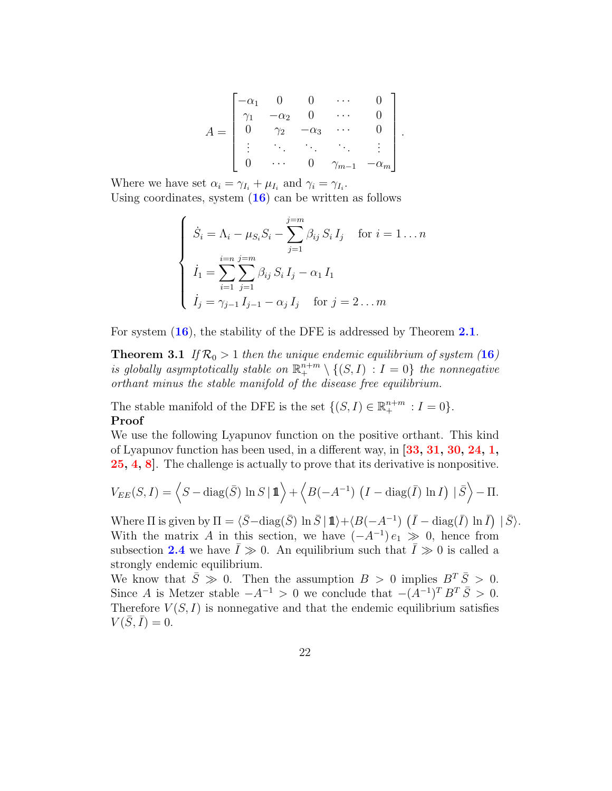$$
A = \begin{bmatrix} -\alpha_1 & 0 & 0 & \cdots & 0 \\ \gamma_1 & -\alpha_2 & 0 & \cdots & 0 \\ 0 & \gamma_2 & -\alpha_3 & \cdots & 0 \\ \vdots & \ddots & \ddots & \ddots & \vdots \\ 0 & \cdots & 0 & \gamma_{m-1} & -\alpha_m \end{bmatrix}.
$$

Where we have set  $\alpha_i = \gamma_{I_i} + \mu_{I_i}$  and  $\gamma_i = \gamma_{I_i}$ . Using coordinates, system  $(16)$  $(16)$  $(16)$  can be written as follows

$$
\begin{cases}\n\dot{S}_i = \Lambda_i - \mu_{S_i} S_i - \sum_{j=1}^{j=m} \beta_{ij} S_i I_j & \text{for } i = 1 \dots n \\
\dot{I}_1 = \sum_{i=1}^{i=n} \sum_{j=1}^{j=m} \beta_{ij} S_i I_j - \alpha_1 I_1 \\
\dot{I}_j = \gamma_{j-1} I_{j-1} - \alpha_j I_j & \text{for } j = 2 \dots m\n\end{cases}
$$

For system  $(16)$  $(16)$  $(16)$ , the stability of the DFE is addressed by Theorem [2.1](#page-13-0).

**Theorem 3.1** If  $\mathcal{R}_0 > 1$  then the unique endemic equilibrium of system ([16](#page-21-0)) is globally asymptotically stable on  $\mathbb{R}^{n+m}_+ \setminus \{(S,I) : I = 0\}$  the nonnegative orthant minus the stable manifold of the disease free equilibrium.

The stable manifold of the DFE is the set  $\{(S, I) \in \mathbb{R}^{n+m}_+ : I = 0\}.$ Proof

We use the following Lyapunov function on the positive orthant. This kind of Lyapunov function has been used, in a different way, in [\[33,](#page-32-6) [31,](#page-32-7) [30,](#page-32-8) [24,](#page-31-10) [1,](#page-29-1) [25,](#page-32-9) [4,](#page-30-3) [8\]](#page-30-8). The challenge is actually to prove that its derivative is nonpositive.

$$
V_{EE}(S,I) = \left\langle S - \text{diag}(\bar{S}) \ln S \mid \mathbf{1} \right\rangle + \left\langle B(-A^{-1}) \left( I - \text{diag}(\bar{I}) \ln I \right) \mid \bar{S} \right\rangle - \Pi.
$$

Where  $\Pi$  is given by  $\Pi = \langle \bar{S} - \text{diag}(\bar{S}) \ln \bar{S} | 1 \rangle + \langle B(-A^{-1}) \left( \bar{I} - \text{diag}(\bar{I}) \ln \bar{I} \right) | \bar{S} \rangle$ . With the matrix A in this section, we have  $(-A^{-1})e_1 \gg 0$ , hence from subsection [2.4](#page-16-2) we have  $\bar{I} \gg 0$ . An equilibrium such that  $\bar{I} \gg 0$  is called a strongly endemic equilibrium.

We know that  $\overline{S} \geq 0$ . Then the assumption  $B > 0$  implies  $B^T \overline{S} > 0$ . Since A is Metzer stable  $-A^{-1} > 0$  we conclude that  $-(A^{-1})^T B^T \overline{S} > 0$ . Therefore  $V(S, I)$  is nonnegative and that the endemic equilibrium satisfies  $V(\bar{S}, \bar{I}) = 0.$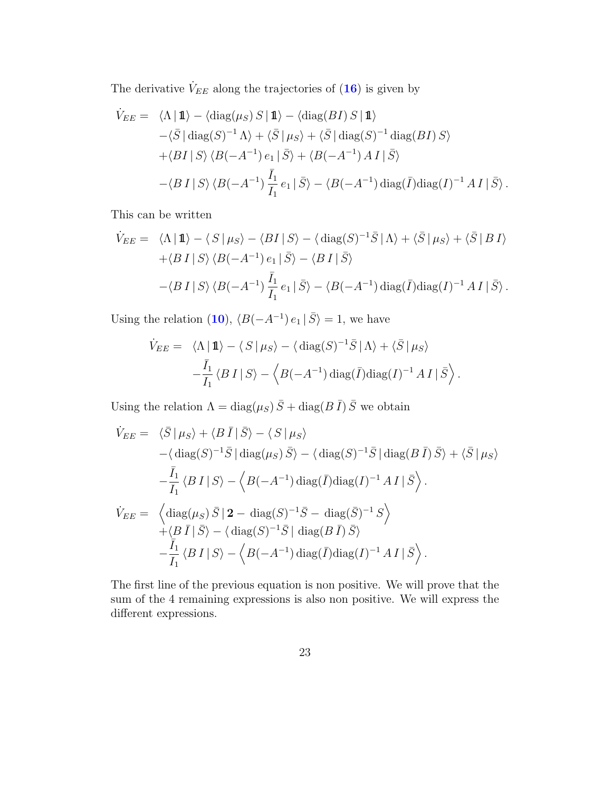The derivative  $\dot{V}_{EE}$  along the trajectories of  $(16)$  $(16)$  $(16)$  is given by

$$
\dot{V}_{EE} = \langle \Lambda | 1 \rangle - \langle \text{diag}(\mu_S) S | 1 \rangle - \langle \text{diag}(BI) S | 1 \rangle
$$
  
 
$$
- \langle \bar{S} | \text{diag}(S)^{-1} \Lambda \rangle + \langle \bar{S} | \mu_S \rangle + \langle \bar{S} | \text{diag}(S)^{-1} \text{diag}(BI) S \rangle
$$
  
 
$$
+ \langle BI | S \rangle \langle B(-A^{-1}) e_1 | \bar{S} \rangle + \langle B(-A^{-1}) A I | \bar{S} \rangle
$$
  
 
$$
- \langle B I | S \rangle \langle B(-A^{-1}) \frac{\bar{I}_1}{I_1} e_1 | \bar{S} \rangle - \langle B(-A^{-1}) \text{diag}(\bar{I}) \text{diag}(I)^{-1} A I | \bar{S} \rangle.
$$

This can be written

$$
\dot{V}_{EE} = \langle \Lambda | 1 \rangle - \langle S | \mu_S \rangle - \langle B I | S \rangle - \langle \text{diag}(S)^{-1} \bar{S} | \Lambda \rangle + \langle \bar{S} | \mu_S \rangle + \langle \bar{S} | B I \rangle \n+ \langle B I | S \rangle \langle B(-A^{-1}) e_1 | \bar{S} \rangle - \langle B I | \bar{S} \rangle \n- \langle B I | S \rangle \langle B(-A^{-1}) \frac{\bar{I}_1}{I_1} e_1 | \bar{S} \rangle - \langle B(-A^{-1}) \text{diag}(\bar{I}) \text{diag}(I)^{-1} A I | \bar{S} \rangle.
$$

Using the relation ([10](#page-17-1)),  $\langle B(-A^{-1}) e_1 | \overline{S} \rangle = 1$ , we have

$$
\dot{V}_{EE} = \langle \Lambda | \mathbf{1} \rangle - \langle S | \mu_S \rangle - \langle \text{diag}(S)^{-1} \bar{S} | \Lambda \rangle + \langle \bar{S} | \mu_S \rangle
$$

$$
-\frac{\bar{I}_1}{I_1} \langle B | S \rangle - \langle B(-A^{-1}) \text{diag}(\bar{I}) \text{diag}(I)^{-1} A | \bar{S} \rangle.
$$

Using the relation  $\Lambda = \text{diag}(\mu_S) \bar{S} + \text{diag}(B \bar{I}) \bar{S}$  we obtain

$$
\dot{V}_{EE} = \langle \bar{S} | \mu_S \rangle + \langle B \bar{I} | \bar{S} \rangle - \langle S | \mu_S \rangle
$$
  
\n
$$
-\langle \text{diag}(S)^{-1} \bar{S} | \text{diag}(\mu_S) \bar{S} \rangle - \langle \text{diag}(S)^{-1} \bar{S} | \text{diag}(B \bar{I}) \bar{S} \rangle + \langle \bar{S} | \mu_S \rangle
$$
  
\n
$$
-\frac{\bar{I}_1}{I_1} \langle B I | S \rangle - \langle B(-A^{-1}) \text{diag}(\bar{I}) \text{diag}(I)^{-1} A I | \bar{S} \rangle.
$$
  
\n
$$
\dot{V}_{EE} = \langle \text{diag}(\mu_S) \bar{S} | 2 - \text{diag}(S)^{-1} \bar{S} - \text{diag}(\bar{S})^{-1} S \rangle
$$
  
\n
$$
+\langle B \bar{I} | \bar{S} \rangle - \langle \text{diag}(S)^{-1} \bar{S} | \text{diag}(B \bar{I}) \bar{S} \rangle
$$
  
\n
$$
-\frac{\bar{I}_1}{I_1} \langle B I | S \rangle - \langle B(-A^{-1}) \text{diag}(\bar{I}) \text{diag}(I)^{-1} A I | \bar{S} \rangle.
$$

The first line of the previous equation is non positive. We will prove that the sum of the 4 remaining expressions is also non positive. We will express the different expressions.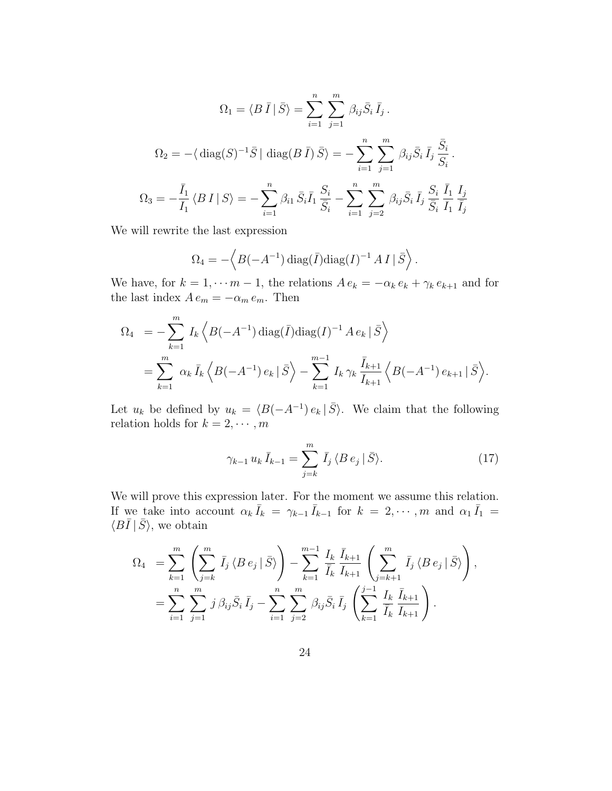$$
\Omega_1 = \langle B \,\overline{I} \,|\, \overline{S} \rangle = \sum_{i=1}^n \sum_{j=1}^m \beta_{ij} \overline{S}_i \,\overline{I}_j.
$$
  

$$
\Omega_2 = -\langle \text{diag}(S)^{-1} \overline{S} \,|\, \text{diag}(B \,\overline{I}) \,\overline{S} \rangle = -\sum_{i=1}^n \sum_{j=1}^m \beta_{ij} \overline{S}_i \,\overline{I}_j \,\frac{\overline{S}_i}{S_i}.
$$
  

$$
\Omega_3 = -\frac{\overline{I}_1}{I_1} \langle B \,I \,|\, S \rangle = -\sum_{i=1}^n \beta_{i1} \,\overline{S}_i \overline{I}_1 \,\frac{S_i}{\overline{S}_i} - \sum_{i=1}^n \sum_{j=2}^m \beta_{ij} \overline{S}_i \,\overline{I}_j \,\frac{S_i}{\overline{S}_i} \,\frac{\overline{I}_1}{\overline{I}_1} \,\frac{I_j}{\overline{I}_j}
$$

We will rewrite the last expression

$$
\Omega_4 = -\langle B(-A^{-1}) \operatorname{diag}(\bar{I}) \operatorname{diag}(I)^{-1} A I | \bar{S} \rangle.
$$

We have, for  $k = 1, \dots, m - 1$ , the relations  $A e_k = -\alpha_k e_k + \gamma_k e_{k+1}$  and for the last index  $A e_m = -\alpha_m e_m$ . Then

$$
\Omega_4 = -\sum_{k=1}^m I_k \left\langle B(-A^{-1}) \operatorname{diag}(\bar{I}) \operatorname{diag}(I)^{-1} A e_k | \bar{S} \right\rangle
$$
  
= 
$$
\sum_{k=1}^m \alpha_k \bar{I}_k \left\langle B(-A^{-1}) e_k | \bar{S} \right\rangle - \sum_{k=1}^{m-1} I_k \gamma_k \frac{\bar{I}_{k+1}}{\bar{I}_{k+1}} \left\langle B(-A^{-1}) e_{k+1} | \bar{S} \right\rangle.
$$

Let  $u_k$  be defined by  $u_k = \langle B(-A^{-1}) e_k | \overline{S} \rangle$ . We claim that the following relation holds for  $k = 2, \dots, m$ 

<span id="page-24-0"></span>
$$
\gamma_{k-1} u_k \bar{I}_{k-1} = \sum_{j=k}^{m} \bar{I}_j \langle B e_j | \bar{S} \rangle.
$$
 (17)

We will prove this expression later. For the moment we assume this relation. If we take into account  $\alpha_k \bar{I}_k = \gamma_{k-1} \bar{I}_{k-1}$  for  $k = 2, \dots, m$  and  $\alpha_1 \bar{I}_1 =$  $\langle B\bar{I} | \bar{S} \rangle$ , we obtain

$$
\Omega_4 = \sum_{k=1}^m \left( \sum_{j=k}^m \bar{I}_j \langle B e_j | \bar{S} \rangle \right) - \sum_{k=1}^{m-1} \frac{I_k}{\bar{I}_k} \frac{\bar{I}_{k+1}}{I_{k+1}} \left( \sum_{j=k+1}^m \bar{I}_j \langle B e_j | \bar{S} \rangle \right),
$$
  
= 
$$
\sum_{i=1}^n \sum_{j=1}^m j \beta_{ij} \bar{S}_i \bar{I}_j - \sum_{i=1}^n \sum_{j=2}^m \beta_{ij} \bar{S}_i \bar{I}_j \left( \sum_{k=1}^{j-1} \frac{I_k}{\bar{I}_k} \frac{\bar{I}_{k+1}}{I_{k+1}} \right).
$$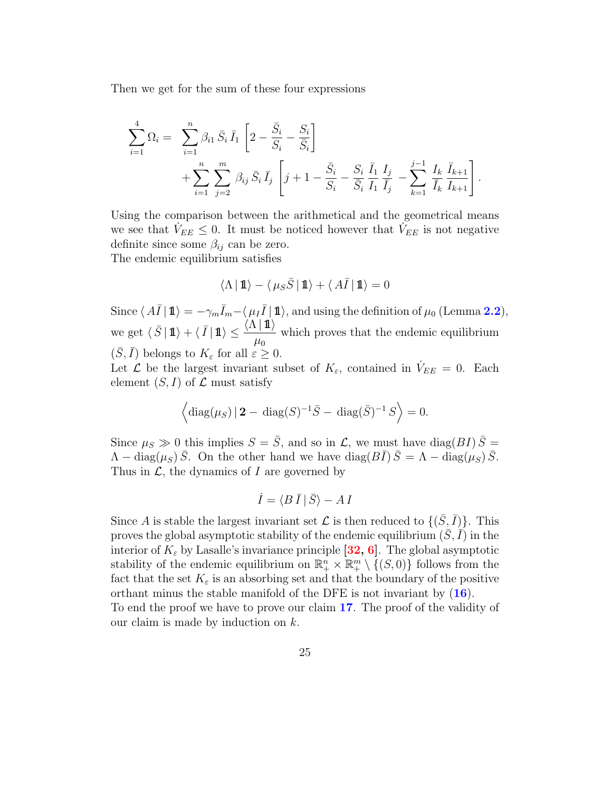Then we get for the sum of these four expressions

$$
\sum_{i=1}^{4} \Omega_i = \sum_{i=1}^{n} \beta_{i1} \bar{S}_i \bar{I}_1 \left[ 2 - \frac{\bar{S}_i}{S_i} - \frac{S_i}{\bar{S}_i} \right] \n+ \sum_{i=1}^{n} \sum_{j=2}^{m} \beta_{ij} \bar{S}_i \bar{I}_j \left[ j + 1 - \frac{\bar{S}_i}{S_i} - \frac{S_i}{\bar{S}_i} \frac{\bar{I}_1}{I_1} \frac{I_j}{\bar{I}_j} - \sum_{k=1}^{j-1} \frac{I_k}{\bar{I}_k} \frac{\bar{I}_{k+1}}{I_{k+1}} \right]
$$

.

Using the comparison between the arithmetical and the geometrical means we see that  $\dot{V}_{EE} \leq 0$ . It must be noticed however that  $\dot{V}_{EE}$  is not negative definite since some  $\beta_{ij}$  can be zero. The endemic equilibrium satisfies

 $\langle \Lambda | 1 \rangle - \langle \mu_S \bar{S} | 1 \rangle + \langle A \bar{I} | 1 \rangle = 0$ 

Since  $\langle A\bar{I} | 1 \rangle = -\gamma_m \bar{I}_m - \langle \mu_I \bar{I} | 1 \rangle$ , and using the definition of  $\mu_0$  (Lemma [2.2](#page-12-0)), we get  $\langle \overline{S} | 1\!\!1 \rangle + \langle \overline{I} | 1\!\!1 \rangle \leq \frac{\langle \Lambda | 1\!\!1 \rangle}{\langle \Lambda | 1\!\!1 \rangle}$  $\mu_0$ which proves that the endemic equilibrium  $(\bar{S}, \bar{I})$  belongs to  $K_{\varepsilon}$  for all  $\varepsilon \geq 0$ .

Let  $\mathcal L$  be the largest invariant subset of  $K_{\varepsilon}$ , contained in  $\dot{V}_{EE} = 0$ . Each element  $(S, I)$  of  $\mathcal L$  must satisfy

$$
\left\langle \mathrm{diag}(\mu_S) \, | \, \mathbf{2} - \mathrm{diag}(S)^{-1} \bar{S} - \mathrm{diag}(\bar{S})^{-1} \, S \right\rangle = 0.
$$

Since  $\mu_S \gg 0$  this implies  $S = \overline{S}$ , and so in  $\mathcal{L}$ , we must have diag( $BI$ )  $\overline{S} =$  $\Lambda - \text{diag}(\mu_S) \bar{S}$ . On the other hand we have  $\text{diag}(B\bar{I}) \bar{S} = \Lambda - \text{diag}(\mu_S) \bar{S}$ . Thus in  $\mathcal{L}$ , the dynamics of I are governed by

$$
\dot{I} = \langle B \,\bar{I} \,|\, \bar{S} \rangle - A \,I
$$

Since A is stable the largest invariant set  $\mathcal L$  is then reduced to  $\{(\bar{S}, \bar{I})\}$ . This proves the global asymptotic stability of the endemic equilibrium  $(S, I)$  in the interior of  $K_{\varepsilon}$  by Lasalle's invariance principle [\[32,](#page-32-5) [6\]](#page-30-7). The global asymptotic stability of the endemic equilibrium on  $\mathbb{R}^n_+ \times \mathbb{R}^m_+ \setminus \{(S,0)\}\)$  follows from the fact that the set  $K_{\varepsilon}$  is an absorbing set and that the boundary of the positive orthant minus the stable manifold of the DFE is not invariant by ([16](#page-21-0)).

To end the proof we have to prove our claim [17](#page-24-0). The proof of the validity of our claim is made by induction on  $k$ .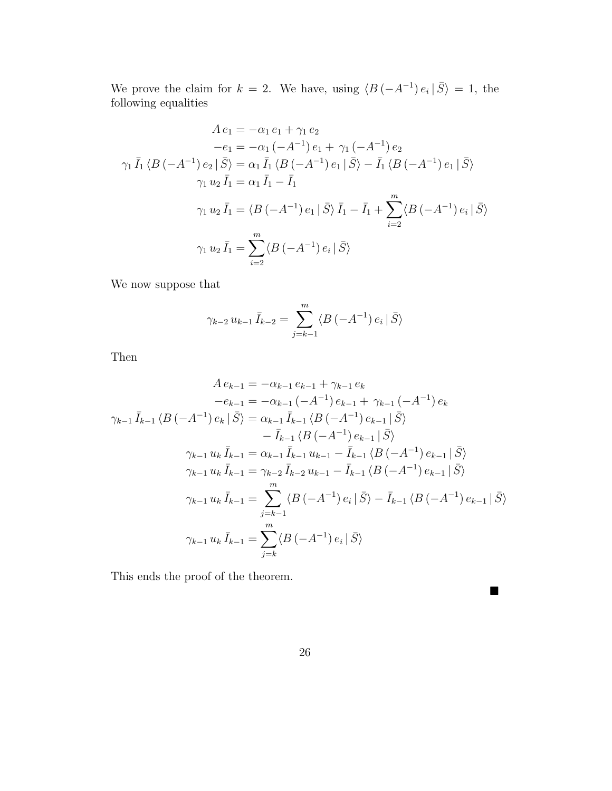We prove the claim for  $k = 2$ . We have, using  $\langle B(-A^{-1}) e_i | \overline{S} \rangle = 1$ , the following equalities

$$
A e_1 = -\alpha_1 e_1 + \gamma_1 e_2
$$
  
\n
$$
-e_1 = -\alpha_1 (-A^{-1}) e_1 + \gamma_1 (-A^{-1}) e_2
$$
  
\n
$$
\gamma_1 \bar{I}_1 \langle B(-A^{-1}) e_2 | \bar{S} \rangle = \alpha_1 \bar{I}_1 \langle B(-A^{-1}) e_1 | \bar{S} \rangle - \bar{I}_1 \langle B(-A^{-1}) e_1 | \bar{S} \rangle
$$
  
\n
$$
\gamma_1 u_2 \bar{I}_1 = \alpha_1 \bar{I}_1 - \bar{I}_1
$$
  
\n
$$
\gamma_1 u_2 \bar{I}_1 = \langle B(-A^{-1}) e_1 | \bar{S} \rangle \bar{I}_1 - \bar{I}_1 + \sum_{i=2}^m \langle B(-A^{-1}) e_i | \bar{S} \rangle
$$
  
\n
$$
\gamma_1 u_2 \bar{I}_1 = \sum_{i=2}^m \langle B(-A^{-1}) e_i | \bar{S} \rangle
$$

We now suppose that

$$
\gamma_{k-2} u_{k-1} \bar{I}_{k-2} = \sum_{j=k-1}^{m} \langle B \left( -A^{-1} \right) e_i \, | \, \bar{S} \rangle
$$

Then

$$
A e_{k-1} = -\alpha_{k-1} e_{k-1} + \gamma_{k-1} e_k
$$
  
\n
$$
-e_{k-1} = -\alpha_{k-1} (-A^{-1}) e_{k-1} + \gamma_{k-1} (-A^{-1}) e_k
$$
  
\n
$$
\gamma_{k-1} \bar{I}_{k-1} \langle B (-A^{-1}) e_k | \bar{S} \rangle = \alpha_{k-1} \bar{I}_{k-1} \langle B (-A^{-1}) e_{k-1} | \bar{S} \rangle
$$
  
\n
$$
- \bar{I}_{k-1} \langle B (-A^{-1}) e_{k-1} | \bar{S} \rangle
$$
  
\n
$$
\gamma_{k-1} u_k \bar{I}_{k-1} = \alpha_{k-1} \bar{I}_{k-1} u_{k-1} - \bar{I}_{k-1} \langle B (-A^{-1}) e_{k-1} | \bar{S} \rangle
$$
  
\n
$$
\gamma_{k-1} u_k \bar{I}_{k-1} = \gamma_{k-2} \bar{I}_{k-2} u_{k-1} - \bar{I}_{k-1} \langle B (-A^{-1}) e_{k-1} | \bar{S} \rangle
$$
  
\n
$$
\gamma_{k-1} u_k \bar{I}_{k-1} = \sum_{j=k-1}^{m} \langle B (-A^{-1}) e_j | \bar{S} \rangle - \bar{I}_{k-1} \langle B (-A^{-1}) e_{k-1} | \bar{S} \rangle
$$
  
\n
$$
\gamma_{k-1} u_k \bar{I}_{k-1} = \sum_{j=k}^{m} \langle B (-A^{-1}) e_j | \bar{S} \rangle
$$
  
\n
$$
\gamma_{k-1} u_k \bar{I}_{k-1} = \sum_{j=k}^{m} \langle B (-A^{-1}) e_j | \bar{S} \rangle
$$

This ends the proof of the theorem.

 $\blacksquare$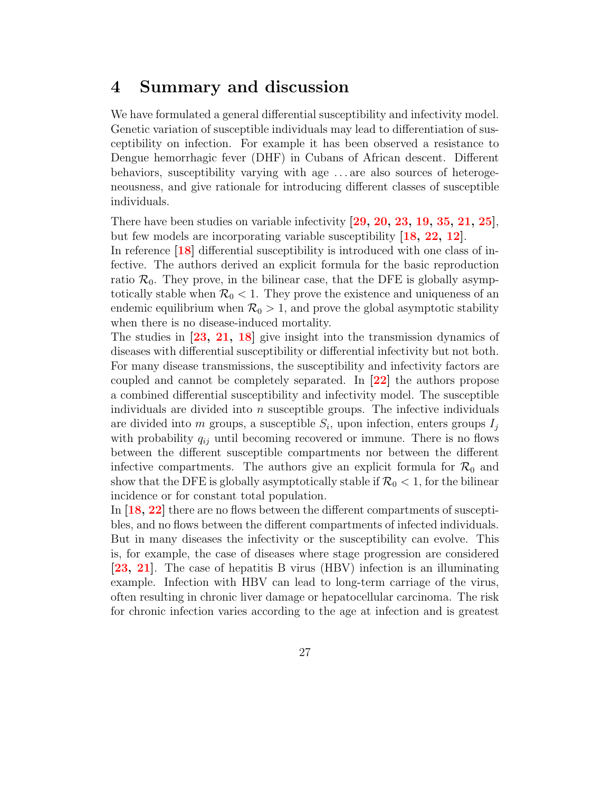### 4 Summary and discussion

We have formulated a general differential susceptibility and infectivity model. Genetic variation of susceptible individuals may lead to differentiation of susceptibility on infection. For example it has been observed a resistance to Dengue hemorrhagic fever (DHF) in Cubans of African descent. Different behaviors, susceptibility varying with age . . . are also sources of heterogeneousness, and give rationale for introducing different classes of susceptible individuals.

There have been studies on variable infectivity  $\left[29, 20, 23, 19, 35, 21, 25\right]$  $\left[29, 20, 23, 19, 35, 21, 25\right]$  $\left[29, 20, 23, 19, 35, 21, 25\right]$  $\left[29, 20, 23, 19, 35, 21, 25\right]$  $\left[29, 20, 23, 19, 35, 21, 25\right]$  $\left[29, 20, 23, 19, 35, 21, 25\right]$  $\left[29, 20, 23, 19, 35, 21, 25\right]$  $\left[29, 20, 23, 19, 35, 21, 25\right]$  $\left[29, 20, 23, 19, 35, 21, 25\right]$  $\left[29, 20, 23, 19, 35, 21, 25\right]$  $\left[29, 20, 23, 19, 35, 21, 25\right]$  $\left[29, 20, 23, 19, 35, 21, 25\right]$  $\left[29, 20, 23, 19, 35, 21, 25\right]$ , but few models are incorporating variable susceptibility [\[18,](#page-31-0) [22,](#page-31-1) [12\]](#page-30-4).

In reference [\[18\]](#page-31-0) differential susceptibility is introduced with one class of infective. The authors derived an explicit formula for the basic reproduction ratio  $\mathcal{R}_0$ . They prove, in the bilinear case, that the DFE is globally asymptotically stable when  $\mathcal{R}_0 < 1$ . They prove the existence and uniqueness of an endemic equilibrium when  $\mathcal{R}_0 > 1$ , and prove the global asymptotic stability when there is no disease-induced mortality.

The studies in  $\left[23, 21, 18\right]$  $\left[23, 21, 18\right]$  $\left[23, 21, 18\right]$  $\left[23, 21, 18\right]$  $\left[23, 21, 18\right]$  give insight into the transmission dynamics of diseases with differential susceptibility or differential infectivity but not both. For many disease transmissions, the susceptibility and infectivity factors are coupled and cannot be completely separated. In [\[22\]](#page-31-1) the authors propose a combined differential susceptibility and infectivity model. The susceptible individuals are divided into  $n$  susceptible groups. The infective individuals are divided into *m* groups, a susceptible  $S_i$ , upon infection, enters groups  $I_j$ with probability  $q_{ij}$  until becoming recovered or immune. There is no flows between the different susceptible compartments nor between the different infective compartments. The authors give an explicit formula for  $\mathcal{R}_0$  and show that the DFE is globally asymptotically stable if  $\mathcal{R}_0 < 1$ , for the bilinear incidence or for constant total population.

In [\[18,](#page-31-0) [22\]](#page-31-1) there are no flows between the different compartments of susceptibles, and no flows between the different compartments of infected individuals. But in many diseases the infectivity or the susceptibility can evolve. This is, for example, the case of diseases where stage progression are considered [\[23,](#page-31-2) [21\]](#page-31-3). The case of hepatitis B virus (HBV) infection is an illuminating example. Infection with HBV can lead to long-term carriage of the virus, often resulting in chronic liver damage or hepatocellular carcinoma. The risk for chronic infection varies according to the age at infection and is greatest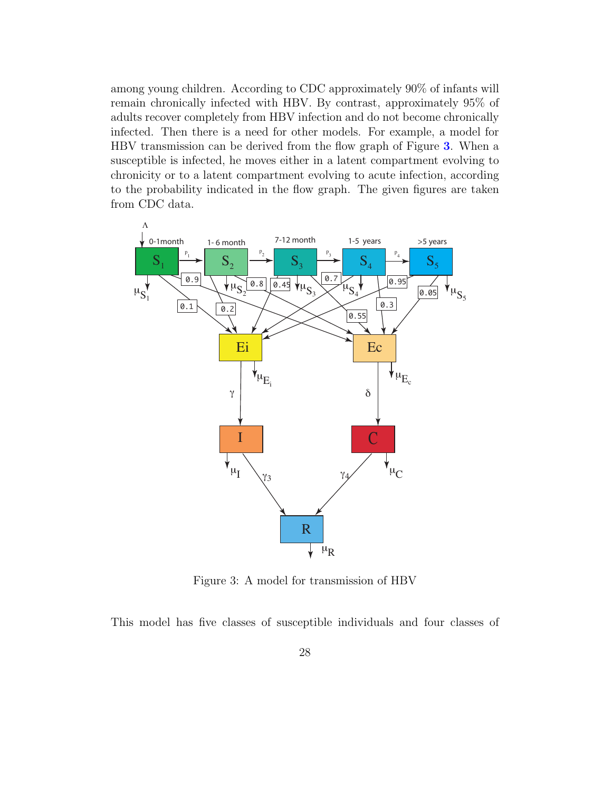among young children. According to CDC approximately 90% of infants will remain chronically infected with HBV. By contrast, approximately 95% of adults recover completely from HBV infection and do not become chronically infected. Then there is a need for other models. For example, a model for HBV transmission can be derived from the flow graph of Figure [3](#page-28-0). When a susceptible is infected, he moves either in a latent compartment evolving to chronicity or to a latent compartment evolving to acute infection, according to the probability indicated in the flow graph. The given figures are taken from CDC data.



<span id="page-28-0"></span>Figure 3: A model for transmission of HBV

This model has five classes of susceptible individuals and four classes of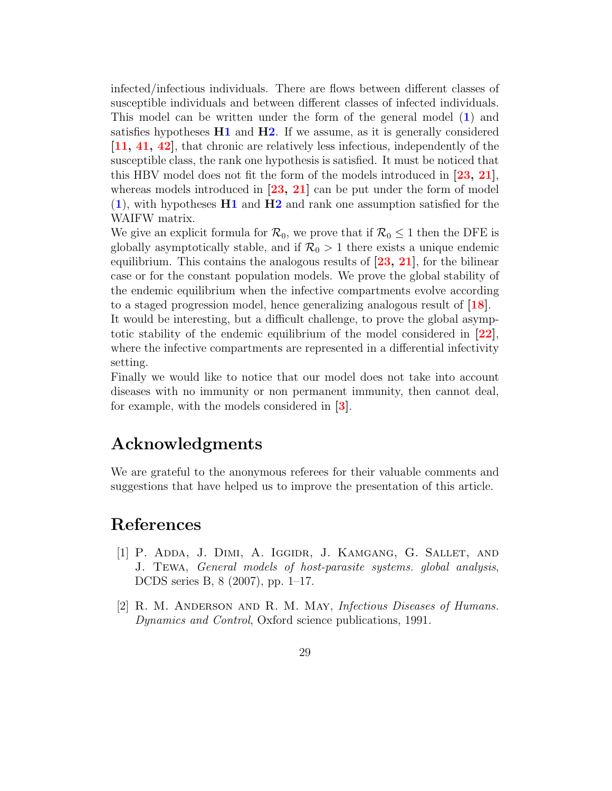infected/infectious individuals. There are flows between different classes of susceptible individuals and between different classes of infected individuals. This model can be written under the form of the general model ([1](#page-5-0)) and satisfies hypotheses  $H1$  and  $H2$ . If we assume, as it is generally considered [\[11,](#page-30-0) [41,](#page-33-1) [42\]](#page-33-2), that chronic are relatively less infectious, independently of the susceptible class, the rank one hypothesis is satisfied. It must be noticed that this HBV model does not fit the form of the models introduced in [\[23,](#page-31-2) [21\]](#page-31-3), whereas models introduced in  $[23, 21]$  $[23, 21]$  $[23, 21]$  can be put under the form of model ([1](#page-5-0)), with hypotheses [H1](#page-8-0) and [H2](#page-9-0) and rank one assumption satisfied for the WAIFW matrix.

We give an explicit formula for  $\mathcal{R}_0$ , we prove that if  $\mathcal{R}_0 \leq 1$  then the DFE is globally asymptotically stable, and if  $\mathcal{R}_0 > 1$  there exists a unique endemic equilibrium. This contains the analogous results of  $[23, 21]$  $[23, 21]$  $[23, 21]$ , for the bilinear case or for the constant population models. We prove the global stability of the endemic equilibrium when the infective compartments evolve according to a staged progression model, hence generalizing analogous result of  $[18]$ .

It would be interesting, but a difficult challenge, to prove the global asymptotic stability of the endemic equilibrium of the model considered in  $[22]$ , where the infective compartments are represented in a differential infectivity setting.

Finally we would like to notice that our model does not take into account diseases with no immunity or non permanent immunity, then cannot deal, for example, with the models considered in [\[3\]](#page-30-9).

### Acknowledgments

We are grateful to the anonymous referees for their valuable comments and suggestions that have helped us to improve the presentation of this article.

### References

- <span id="page-29-1"></span>[1] P. Adda, J. Dimi, A. Iggidr, J. Kamgang, G. Sallet, and J. Tewa, General models of host-parasite systems. global analysis, DCDS series B, 8 (2007), pp. 1–17.
- <span id="page-29-0"></span>[2] R. M. Anderson and R. M. May, Infectious Diseases of Humans. Dynamics and Control, Oxford science publications, 1991.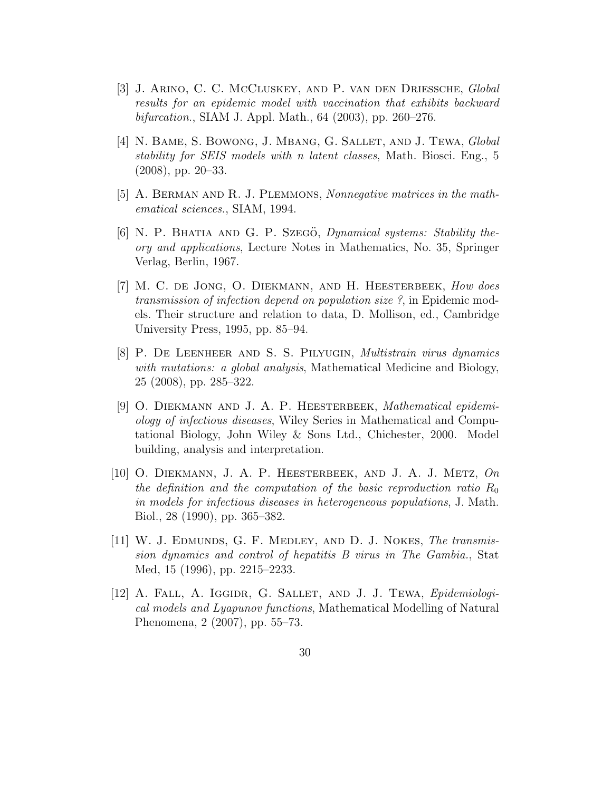- <span id="page-30-9"></span>[3] J. Arino, C. C. McCluskey, and P. van den Driessche, Global results for an epidemic model with vaccination that exhibits backward bifurcation., SIAM J. Appl. Math., 64 (2003), pp. 260–276.
- <span id="page-30-3"></span>[4] N. Bame, S. Bowong, J. Mbang, G. Sallet, and J. Tewa, Global stability for SEIS models with n latent classes, Math. Biosci. Eng., 5 (2008), pp. 20–33.
- <span id="page-30-2"></span> $[5]$  A. BERMAN AND R. J. PLEMMONS, Nonnegative matrices in the mathematical sciences., SIAM, 1994.
- <span id="page-30-7"></span>[6] N. P. BHATIA AND G. P. SZEGÖ, *Dynamical systems: Stability the*ory and applications, Lecture Notes in Mathematics, No. 35, Springer Verlag, Berlin, 1967.
- <span id="page-30-1"></span>[7] M. C. de Jong, O. Diekmann, and H. Heesterbeek, How does transmission of infection depend on population size ?, in Epidemic models. Their structure and relation to data, D. Mollison, ed., Cambridge University Press, 1995, pp. 85–94.
- <span id="page-30-8"></span>[8] P. De Leenheer and S. S. Pilyugin, Multistrain virus dynamics with mutations: a global analysis, Mathematical Medicine and Biology, 25 (2008), pp. 285–322.
- <span id="page-30-6"></span>[9] O. DIEKMANN AND J. A. P. HEESTERBEEK, Mathematical epidemiology of infectious diseases, Wiley Series in Mathematical and Computational Biology, John Wiley & Sons Ltd., Chichester, 2000. Model building, analysis and interpretation.
- <span id="page-30-5"></span>[10] O. Diekmann, J. A. P. Heesterbeek, and J. A. J. Metz, On the definition and the computation of the basic reproduction ratio  $R_0$ in models for infectious diseases in heterogeneous populations, J. Math. Biol., 28 (1990), pp. 365–382.
- <span id="page-30-0"></span>[11] W. J. Edmunds, G. F. Medley, and D. J. Nokes, The transmission dynamics and control of hepatitis B virus in The Gambia., Stat Med, 15 (1996), pp. 2215–2233.
- <span id="page-30-4"></span>[12] A. Fall, A. Iggidr, G. Sallet, and J. J. Tewa, Epidemiological models and Lyapunov functions, Mathematical Modelling of Natural Phenomena, 2 (2007), pp. 55–73.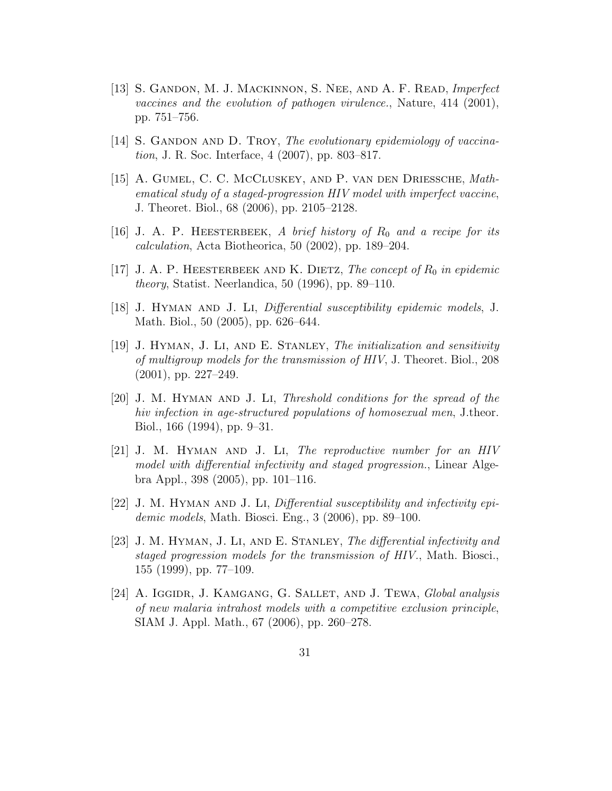- <span id="page-31-6"></span>[13] S. GANDON, M. J. MACKINNON, S. NEE, AND A. F. READ, Imperfect vaccines and the evolution of pathogen virulence., Nature, 414 (2001), pp. 751–756.
- <span id="page-31-7"></span> $[14]$  S. GANDON AND D. TROY, The evolutionary epidemiology of vaccination, J. R. Soc. Interface, 4 (2007), pp. 803–817.
- <span id="page-31-5"></span>[15] A. Gumel, C. C. McCluskey, and P. van den Driessche, Mathematical study of a staged-progression HIV model with imperfect vaccine, J. Theoret. Biol., 68 (2006), pp. 2105–2128.
- <span id="page-31-9"></span>[16] J. A. P. HEESTERBEEK, A brief history of  $R_0$  and a recipe for its calculation, Acta Biotheorica, 50 (2002), pp. 189–204.
- <span id="page-31-8"></span>[17] J. A. P. HEESTERBEEK AND K. DIETZ, The concept of  $R_0$  in epidemic theory, Statist. Neerlandica, 50 (1996), pp. 89–110.
- <span id="page-31-0"></span>[18] J. Hyman and J. Li, Differential susceptibility epidemic models, J. Math. Biol., 50 (2005), pp. 626–644.
- <span id="page-31-4"></span>[19] J. HYMAN, J. LI, AND E. STANLEY, The initialization and sensitivity of multigroup models for the transmission of HIV, J. Theoret. Biol., 208 (2001), pp. 227–249.
- <span id="page-31-11"></span>[20] J. M. Hyman and J. Li, Threshold conditions for the spread of the hiv infection in age-structured populations of homosexual men, J.theor. Biol., 166 (1994), pp. 9–31.
- <span id="page-31-3"></span>[21] J. M. Hyman and J. Li, The reproductive number for an HIV model with differential infectivity and staged progression., Linear Algebra Appl., 398 (2005), pp. 101–116.
- <span id="page-31-1"></span> $[22]$  J. M. HYMAN AND J. LI, Differential susceptibility and infectivity epidemic models, Math. Biosci. Eng., 3 (2006), pp. 89–100.
- <span id="page-31-2"></span>[23] J. M. Hyman, J. Li, and E. Stanley, The differential infectivity and staged progression models for the transmission of HIV., Math. Biosci., 155 (1999), pp. 77–109.
- <span id="page-31-10"></span>[24] A. IGGIDR, J. KAMGANG, G. SALLET, AND J. TEWA, Global analysis of new malaria intrahost models with a competitive exclusion principle, SIAM J. Appl. Math., 67 (2006), pp. 260–278.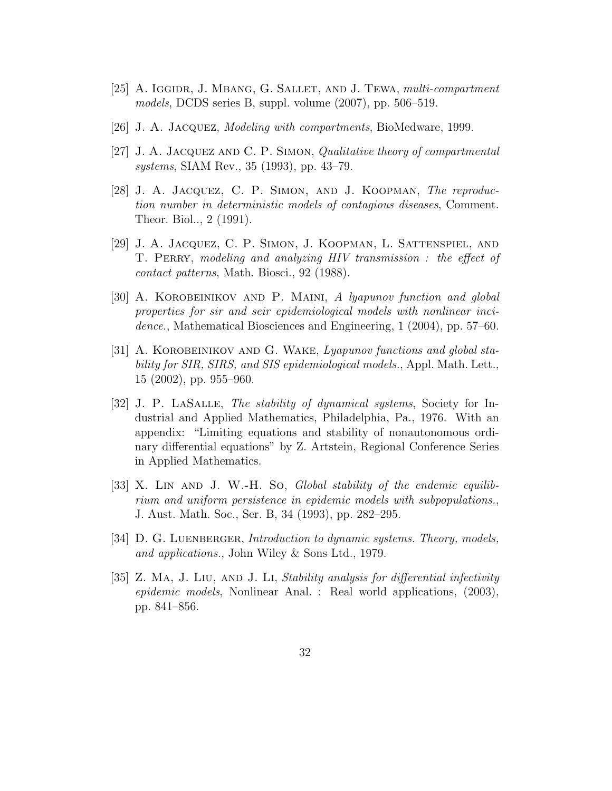- <span id="page-32-9"></span>[25] A. IGGIDR, J. MBANG, G. SALLET, AND J. TEWA, *multi-compartment* models, DCDS series B, suppl. volume (2007), pp. 506–519.
- <span id="page-32-3"></span>[26] J. A. Jacquez, Modeling with compartments, BioMedware, 1999.
- <span id="page-32-2"></span>[27] J. A. Jacquez and C. P. Simon, Qualitative theory of compartmental systems, SIAM Rev., 35 (1993), pp. 43–79.
- <span id="page-32-1"></span>[28] J. A. Jacquez, C. P. Simon, and J. Koopman, The reproduction number in deterministic models of contagious diseases, Comment. Theor. Biol.., 2 (1991).
- <span id="page-32-0"></span>[29] J. A. Jacquez, C. P. Simon, J. Koopman, L. Sattenspiel, and T. PERRY, modeling and analyzing HIV transmission: the effect of contact patterns, Math. Biosci., 92 (1988).
- <span id="page-32-8"></span>[30] A. Korobeinikov and P. Maini, A lyapunov function and global properties for sir and seir epidemiological models with nonlinear incidence., Mathematical Biosciences and Engineering, 1 (2004), pp. 57–60.
- <span id="page-32-7"></span>[31] A. KOROBEINIKOV AND G. WAKE, Lyapunov functions and global stability for SIR, SIRS, and SIS epidemiological models., Appl. Math. Lett., 15 (2002), pp. 955–960.
- <span id="page-32-5"></span>[32] J. P. LaSalle, The stability of dynamical systems, Society for Industrial and Applied Mathematics, Philadelphia, Pa., 1976. With an appendix: "Limiting equations and stability of nonautonomous ordinary differential equations" by Z. Artstein, Regional Conference Series in Applied Mathematics.
- <span id="page-32-6"></span>[33] X. LIN AND J. W.-H. So, *Global stability of the endemic equilib*rium and uniform persistence in epidemic models with subpopulations., J. Aust. Math. Soc., Ser. B, 34 (1993), pp. 282–295.
- <span id="page-32-4"></span>[34] D. G. LUENBERGER, *Introduction to dynamic systems. Theory, models,* and applications., John Wiley & Sons Ltd., 1979.
- <span id="page-32-10"></span>[35] Z. Ma, J. Liu, and J. Li, Stability analysis for differential infectivity epidemic models, Nonlinear Anal. : Real world applications, (2003), pp. 841–856.